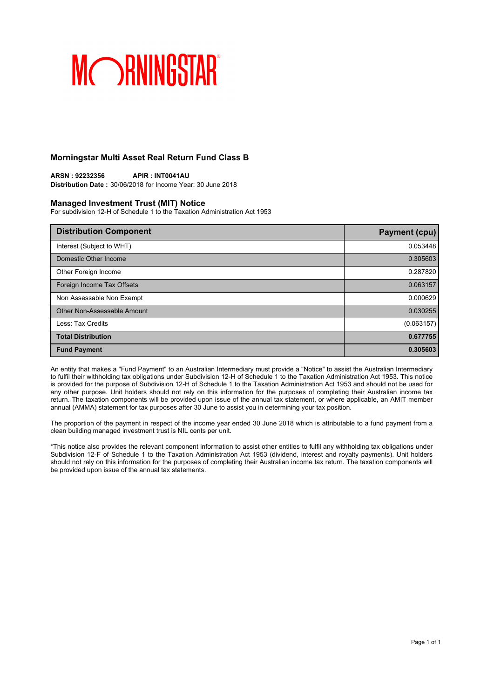## **Morningstar Multi Asset Real Return Fund Class B**

**ARSN : 92232356 APIR : INT0041AU Distribution Date :** 30/06/2018 for Income Year: 30 June 2018

### **Managed Investment Trust (MIT) Notice**

For subdivision 12-H of Schedule 1 to the Taxation Administration Act 1953

| <b>Distribution Component</b> | <b>Payment (cpu)</b> |
|-------------------------------|----------------------|
| Interest (Subject to WHT)     | 0.053448             |
| Domestic Other Income         | 0.305603             |
| Other Foreign Income          | 0.287820             |
| Foreign Income Tax Offsets    | 0.063157             |
| Non Assessable Non Exempt     | 0.000629             |
| Other Non-Assessable Amount   | 0.030255             |
| Less: Tax Credits             | (0.063157)           |
| <b>Total Distribution</b>     | 0.677755             |
| <b>Fund Payment</b>           | 0.305603             |

An entity that makes a "Fund Payment" to an Australian Intermediary must provide a "Notice" to assist the Australian Intermediary to fulfil their withholding tax obligations under Subdivision 12-H of Schedule 1 to the Taxation Administration Act 1953. This notice is provided for the purpose of Subdivision 12-H of Schedule 1 to the Taxation Administration Act 1953 and should not be used for any other purpose. Unit holders should not rely on this information for the purposes of completing their Australian income tax return. The taxation components will be provided upon issue of the annual tax statement, or where applicable, an AMIT member annual (AMMA) statement for tax purposes after 30 June to assist you in determining your tax position.

The proportion of the payment in respect of the income year ended 30 June 2018 which is attributable to a fund payment from a clean building managed investment trust is NIL cents per unit.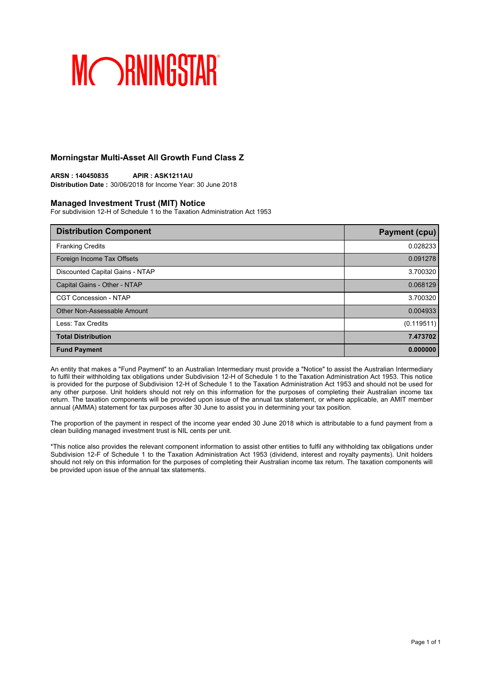## **Morningstar Multi-Asset All Growth Fund Class Z**

**ARSN : 140450835 APIR : ASK1211AU Distribution Date :** 30/06/2018 for Income Year: 30 June 2018

### **Managed Investment Trust (MIT) Notice**

For subdivision 12-H of Schedule 1 to the Taxation Administration Act 1953

| <b>Distribution Component</b>   | Payment (cpu) |
|---------------------------------|---------------|
| <b>Franking Credits</b>         | 0.028233      |
| Foreign Income Tax Offsets      | 0.091278      |
| Discounted Capital Gains - NTAP | 3.700320      |
| Capital Gains - Other - NTAP    | 0.068129      |
| <b>CGT Concession - NTAP</b>    | 3.700320      |
| Other Non-Assessable Amount     | 0.004933      |
| Less: Tax Credits               | (0.119511)    |
| <b>Total Distribution</b>       | 7.473702      |
| <b>Fund Payment</b>             | 0.000000      |

An entity that makes a "Fund Payment" to an Australian Intermediary must provide a "Notice" to assist the Australian Intermediary to fulfil their withholding tax obligations under Subdivision 12-H of Schedule 1 to the Taxation Administration Act 1953. This notice is provided for the purpose of Subdivision 12-H of Schedule 1 to the Taxation Administration Act 1953 and should not be used for any other purpose. Unit holders should not rely on this information for the purposes of completing their Australian income tax return. The taxation components will be provided upon issue of the annual tax statement, or where applicable, an AMIT member annual (AMMA) statement for tax purposes after 30 June to assist you in determining your tax position.

The proportion of the payment in respect of the income year ended 30 June 2018 which is attributable to a fund payment from a clean building managed investment trust is NIL cents per unit.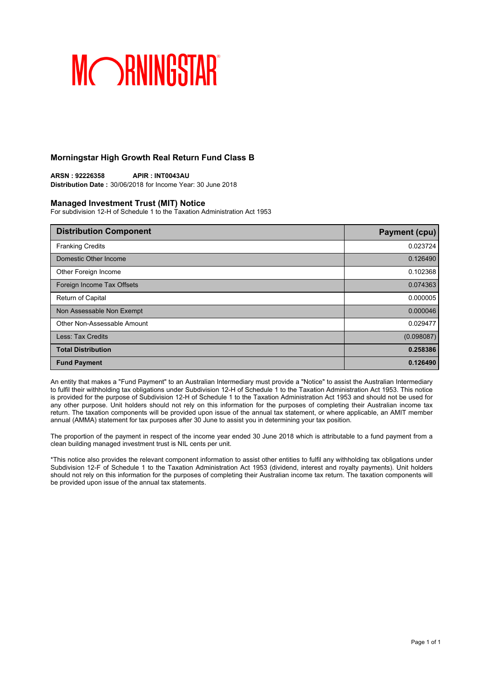## **Morningstar High Growth Real Return Fund Class B**

**ARSN : 92226358 APIR : INT0043AU Distribution Date :** 30/06/2018 for Income Year: 30 June 2018

## **Managed Investment Trust (MIT) Notice**

For subdivision 12-H of Schedule 1 to the Taxation Administration Act 1953

| <b>Distribution Component</b> | <b>Payment (cpu)</b> |
|-------------------------------|----------------------|
| <b>Franking Credits</b>       | 0.023724             |
| Domestic Other Income         | 0.126490             |
| Other Foreign Income          | 0.102368             |
| Foreign Income Tax Offsets    | 0.074363             |
| Return of Capital             | 0.000005             |
| Non Assessable Non Exempt     | 0.000046             |
| Other Non-Assessable Amount   | 0.029477             |
| Less: Tax Credits             | (0.098087)           |
| <b>Total Distribution</b>     | 0.258386             |
| <b>Fund Payment</b>           | 0.126490             |

An entity that makes a "Fund Payment" to an Australian Intermediary must provide a "Notice" to assist the Australian Intermediary to fulfil their withholding tax obligations under Subdivision 12-H of Schedule 1 to the Taxation Administration Act 1953. This notice is provided for the purpose of Subdivision 12-H of Schedule 1 to the Taxation Administration Act 1953 and should not be used for any other purpose. Unit holders should not rely on this information for the purposes of completing their Australian income tax return. The taxation components will be provided upon issue of the annual tax statement, or where applicable, an AMIT member annual (AMMA) statement for tax purposes after 30 June to assist you in determining your tax position.

The proportion of the payment in respect of the income year ended 30 June 2018 which is attributable to a fund payment from a clean building managed investment trust is NIL cents per unit.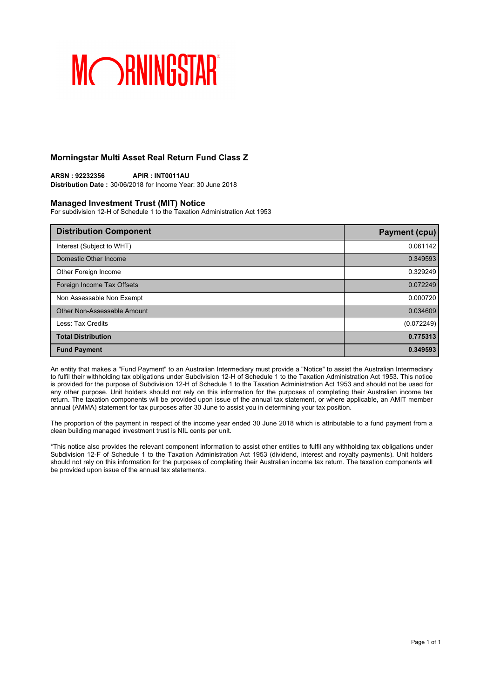## **Morningstar Multi Asset Real Return Fund Class Z**

**ARSN : 92232356 APIR : INT0011AU Distribution Date :** 30/06/2018 for Income Year: 30 June 2018

### **Managed Investment Trust (MIT) Notice**

For subdivision 12-H of Schedule 1 to the Taxation Administration Act 1953

| <b>Distribution Component</b> | <b>Payment (cpu)</b> |
|-------------------------------|----------------------|
| Interest (Subject to WHT)     | 0.061142             |
| Domestic Other Income         | 0.349593             |
| Other Foreign Income          | 0.329249             |
| Foreign Income Tax Offsets    | 0.072249             |
| Non Assessable Non Exempt     | 0.000720             |
| Other Non-Assessable Amount   | 0.034609             |
| Less: Tax Credits             | (0.072249)           |
| <b>Total Distribution</b>     | 0.775313             |
| <b>Fund Payment</b>           | 0.349593             |

An entity that makes a "Fund Payment" to an Australian Intermediary must provide a "Notice" to assist the Australian Intermediary to fulfil their withholding tax obligations under Subdivision 12-H of Schedule 1 to the Taxation Administration Act 1953. This notice is provided for the purpose of Subdivision 12-H of Schedule 1 to the Taxation Administration Act 1953 and should not be used for any other purpose. Unit holders should not rely on this information for the purposes of completing their Australian income tax return. The taxation components will be provided upon issue of the annual tax statement, or where applicable, an AMIT member annual (AMMA) statement for tax purposes after 30 June to assist you in determining your tax position.

The proportion of the payment in respect of the income year ended 30 June 2018 which is attributable to a fund payment from a clean building managed investment trust is NIL cents per unit.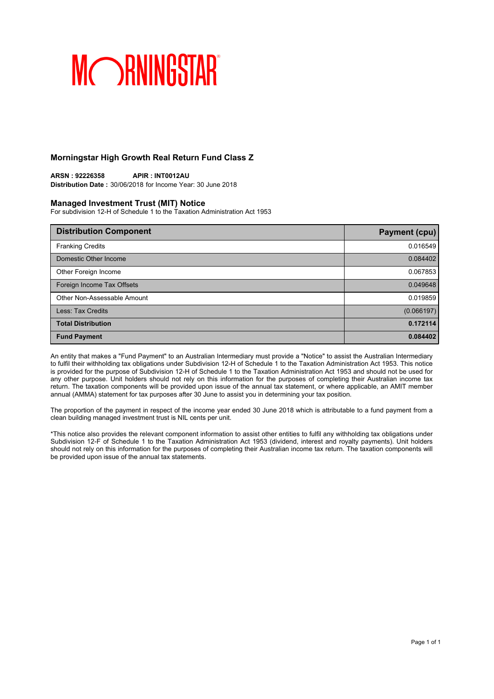## **Morningstar High Growth Real Return Fund Class Z**

**ARSN : 92226358 APIR : INT0012AU Distribution Date :** 30/06/2018 for Income Year: 30 June 2018

### **Managed Investment Trust (MIT) Notice**

For subdivision 12-H of Schedule 1 to the Taxation Administration Act 1953

| <b>Distribution Component</b> | <b>Payment (cpu)</b> |
|-------------------------------|----------------------|
| <b>Franking Credits</b>       | 0.016549             |
| Domestic Other Income         | 0.084402             |
| Other Foreign Income          | 0.067853             |
| Foreign Income Tax Offsets    | 0.049648             |
| Other Non-Assessable Amount   | 0.019859             |
| Less: Tax Credits             | (0.066197)           |
| <b>Total Distribution</b>     | 0.172114             |
| <b>Fund Payment</b>           | 0.084402             |

An entity that makes a "Fund Payment" to an Australian Intermediary must provide a "Notice" to assist the Australian Intermediary to fulfil their withholding tax obligations under Subdivision 12-H of Schedule 1 to the Taxation Administration Act 1953. This notice is provided for the purpose of Subdivision 12-H of Schedule 1 to the Taxation Administration Act 1953 and should not be used for any other purpose. Unit holders should not rely on this information for the purposes of completing their Australian income tax return. The taxation components will be provided upon issue of the annual tax statement, or where applicable, an AMIT member annual (AMMA) statement for tax purposes after 30 June to assist you in determining your tax position.

The proportion of the payment in respect of the income year ended 30 June 2018 which is attributable to a fund payment from a clean building managed investment trust is NIL cents per unit.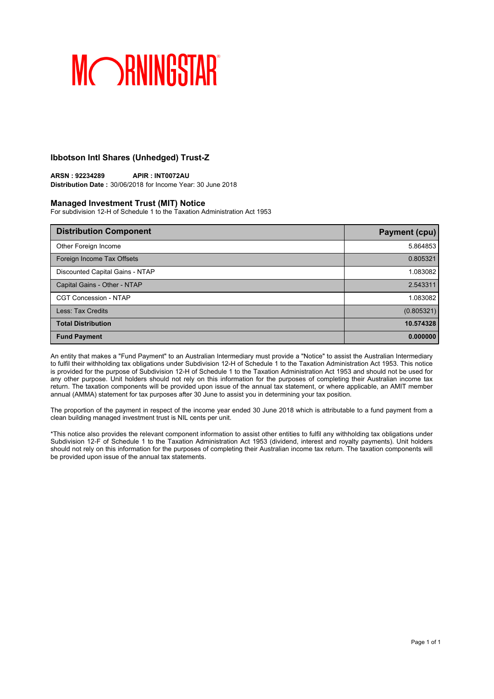## **Ibbotson Intl Shares (Unhedged) Trust-Z**

### **ARSN : 92234289 APIR : INT0072AU Distribution Date :** 30/06/2018 for Income Year: 30 June 2018

## **Managed Investment Trust (MIT) Notice**

For subdivision 12-H of Schedule 1 to the Taxation Administration Act 1953

| <b>Distribution Component</b>   | <b>Payment (cpu)</b> |
|---------------------------------|----------------------|
| Other Foreign Income            | 5.864853             |
| Foreign Income Tax Offsets      | 0.805321             |
| Discounted Capital Gains - NTAP | 1.083082             |
| Capital Gains - Other - NTAP    | 2.543311             |
| <b>CGT Concession - NTAP</b>    | 1.083082             |
| Less: Tax Credits               | (0.805321)           |
| <b>Total Distribution</b>       | 10.574328            |
| <b>Fund Payment</b>             | 0.000000             |

An entity that makes a "Fund Payment" to an Australian Intermediary must provide a "Notice" to assist the Australian Intermediary to fulfil their withholding tax obligations under Subdivision 12-H of Schedule 1 to the Taxation Administration Act 1953. This notice is provided for the purpose of Subdivision 12-H of Schedule 1 to the Taxation Administration Act 1953 and should not be used for any other purpose. Unit holders should not rely on this information for the purposes of completing their Australian income tax return. The taxation components will be provided upon issue of the annual tax statement, or where applicable, an AMIT member annual (AMMA) statement for tax purposes after 30 June to assist you in determining your tax position.

The proportion of the payment in respect of the income year ended 30 June 2018 which is attributable to a fund payment from a clean building managed investment trust is NIL cents per unit.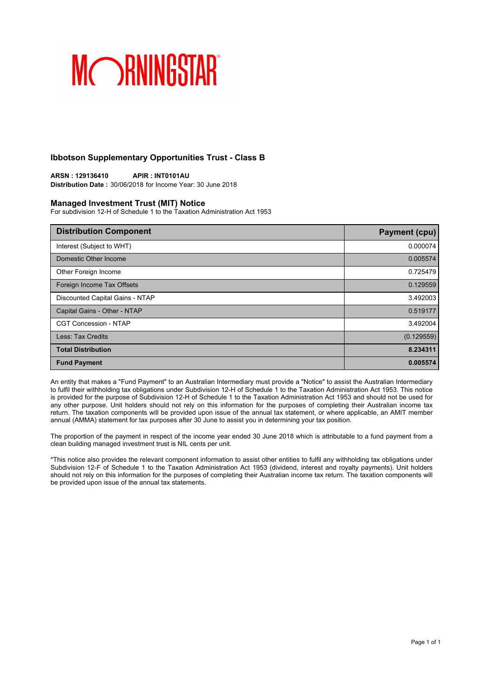## **Ibbotson Supplementary Opportunities Trust - Class B**

**ARSN : 129136410 APIR : INT0101AU Distribution Date :** 30/06/2018 for Income Year: 30 June 2018

### **Managed Investment Trust (MIT) Notice**

For subdivision 12-H of Schedule 1 to the Taxation Administration Act 1953

| <b>Distribution Component</b>   | <b>Payment (cpu)</b> |
|---------------------------------|----------------------|
| Interest (Subject to WHT)       | 0.000074             |
| Domestic Other Income           | 0.005574             |
| Other Foreign Income            | 0.725479             |
| Foreign Income Tax Offsets      | 0.129559             |
| Discounted Capital Gains - NTAP | 3.492003             |
| Capital Gains - Other - NTAP    | 0.519177             |
| <b>CGT Concession - NTAP</b>    | 3.492004             |
| Less: Tax Credits               | (0.129559)           |
| <b>Total Distribution</b>       | 8.234311             |
| <b>Fund Payment</b>             | 0.005574             |

An entity that makes a "Fund Payment" to an Australian Intermediary must provide a "Notice" to assist the Australian Intermediary to fulfil their withholding tax obligations under Subdivision 12-H of Schedule 1 to the Taxation Administration Act 1953. This notice is provided for the purpose of Subdivision 12-H of Schedule 1 to the Taxation Administration Act 1953 and should not be used for any other purpose. Unit holders should not rely on this information for the purposes of completing their Australian income tax return. The taxation components will be provided upon issue of the annual tax statement, or where applicable, an AMIT member annual (AMMA) statement for tax purposes after 30 June to assist you in determining your tax position.

The proportion of the payment in respect of the income year ended 30 June 2018 which is attributable to a fund payment from a clean building managed investment trust is NIL cents per unit.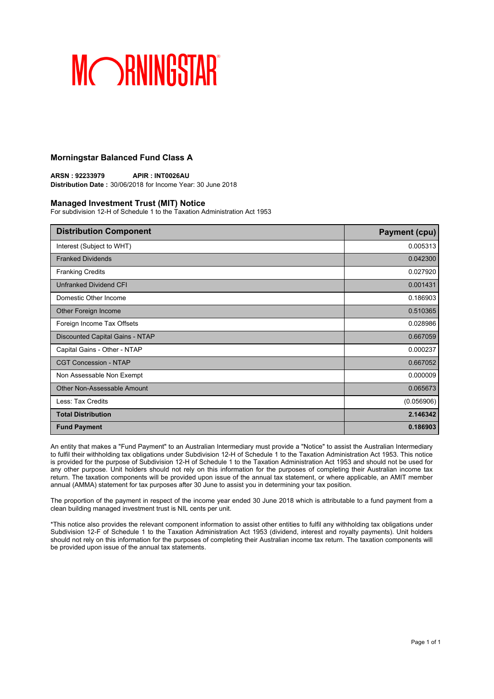## **Morningstar Balanced Fund Class A**

**ARSN : 92233979 APIR : INT0026AU Distribution Date :** 30/06/2018 for Income Year: 30 June 2018

### **Managed Investment Trust (MIT) Notice**

For subdivision 12-H of Schedule 1 to the Taxation Administration Act 1953

| <b>Distribution Component</b>   | <b>Payment (cpu)</b> |
|---------------------------------|----------------------|
| Interest (Subject to WHT)       | 0.005313             |
| <b>Franked Dividends</b>        | 0.042300             |
| <b>Franking Credits</b>         | 0.027920             |
| Unfranked Dividend CFI          | 0.001431             |
| Domestic Other Income           | 0.186903             |
| Other Foreign Income            | 0.510365             |
| Foreign Income Tax Offsets      | 0.028986             |
| Discounted Capital Gains - NTAP | 0.667059             |
| Capital Gains - Other - NTAP    | 0.000237             |
| <b>CGT Concession - NTAP</b>    | 0.667052             |
| Non Assessable Non Exempt       | 0.000009             |
| Other Non-Assessable Amount     | 0.065673             |
| Less: Tax Credits               | (0.056906)           |
| <b>Total Distribution</b>       | 2.146342             |
| <b>Fund Payment</b>             | 0.186903             |

An entity that makes a "Fund Payment" to an Australian Intermediary must provide a "Notice" to assist the Australian Intermediary to fulfil their withholding tax obligations under Subdivision 12-H of Schedule 1 to the Taxation Administration Act 1953. This notice is provided for the purpose of Subdivision 12-H of Schedule 1 to the Taxation Administration Act 1953 and should not be used for any other purpose. Unit holders should not rely on this information for the purposes of completing their Australian income tax return. The taxation components will be provided upon issue of the annual tax statement, or where applicable, an AMIT member annual (AMMA) statement for tax purposes after 30 June to assist you in determining your tax position.

The proportion of the payment in respect of the income year ended 30 June 2018 which is attributable to a fund payment from a clean building managed investment trust is NIL cents per unit.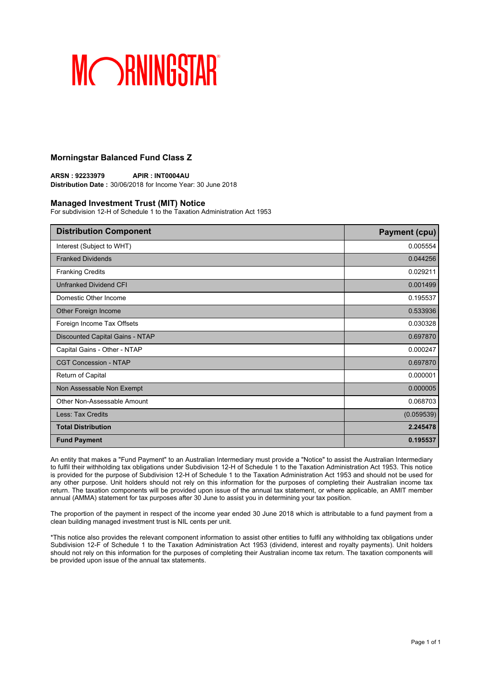## **Morningstar Balanced Fund Class Z**

**ARSN : 92233979 APIR : INT0004AU Distribution Date :** 30/06/2018 for Income Year: 30 June 2018

### **Managed Investment Trust (MIT) Notice**

For subdivision 12-H of Schedule 1 to the Taxation Administration Act 1953

| <b>Distribution Component</b>   | <b>Payment (cpu)</b> |
|---------------------------------|----------------------|
| Interest (Subject to WHT)       | 0.005554             |
| <b>Franked Dividends</b>        | 0.044256             |
| <b>Franking Credits</b>         | 0.029211             |
| Unfranked Dividend CFI          | 0.001499             |
| Domestic Other Income           | 0.195537             |
| Other Foreign Income            | 0.533936             |
| Foreign Income Tax Offsets      | 0.030328             |
| Discounted Capital Gains - NTAP | 0.697870             |
| Capital Gains - Other - NTAP    | 0.000247             |
| <b>CGT Concession - NTAP</b>    | 0.697870             |
| Return of Capital               | 0.000001             |
| Non Assessable Non Exempt       | 0.000005             |
| Other Non-Assessable Amount     | 0.068703             |
| Less: Tax Credits               | (0.059539)           |
| <b>Total Distribution</b>       | 2.245478             |
| <b>Fund Payment</b>             | 0.195537             |

An entity that makes a "Fund Payment" to an Australian Intermediary must provide a "Notice" to assist the Australian Intermediary to fulfil their withholding tax obligations under Subdivision 12-H of Schedule 1 to the Taxation Administration Act 1953. This notice is provided for the purpose of Subdivision 12-H of Schedule 1 to the Taxation Administration Act 1953 and should not be used for any other purpose. Unit holders should not rely on this information for the purposes of completing their Australian income tax return. The taxation components will be provided upon issue of the annual tax statement, or where applicable, an AMIT member annual (AMMA) statement for tax purposes after 30 June to assist you in determining your tax position.

The proportion of the payment in respect of the income year ended 30 June 2018 which is attributable to a fund payment from a clean building managed investment trust is NIL cents per unit.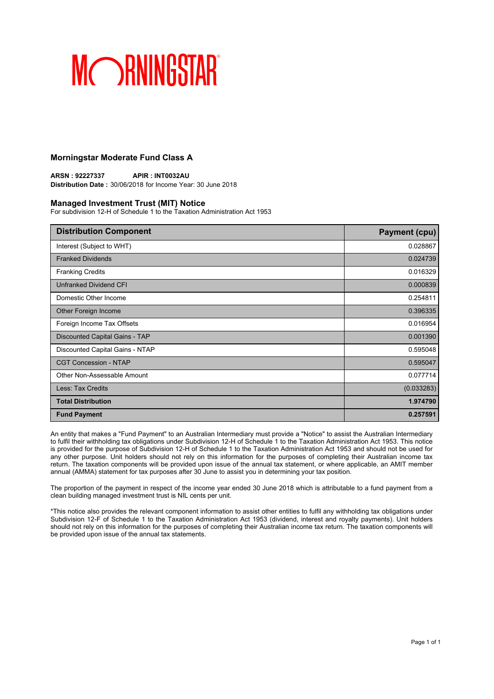## **Morningstar Moderate Fund Class A**

**ARSN : 92227337 APIR : INT0032AU Distribution Date :** 30/06/2018 for Income Year: 30 June 2018

### **Managed Investment Trust (MIT) Notice**

For subdivision 12-H of Schedule 1 to the Taxation Administration Act 1953

| <b>Distribution Component</b>   | <b>Payment (cpu)</b> |
|---------------------------------|----------------------|
| Interest (Subject to WHT)       | 0.028867             |
| <b>Franked Dividends</b>        | 0.024739             |
| <b>Franking Credits</b>         | 0.016329             |
| <b>Unfranked Dividend CFI</b>   | 0.000839             |
| Domestic Other Income           | 0.254811             |
| Other Foreign Income            | 0.396335             |
| Foreign Income Tax Offsets      | 0.016954             |
| Discounted Capital Gains - TAP  | 0.001390             |
| Discounted Capital Gains - NTAP | 0.595048             |
| <b>CGT Concession - NTAP</b>    | 0.595047             |
| Other Non-Assessable Amount     | 0.077714             |
| Less: Tax Credits               | (0.033283)           |
| <b>Total Distribution</b>       | 1.974790             |
| <b>Fund Payment</b>             | 0.257591             |

An entity that makes a "Fund Payment" to an Australian Intermediary must provide a "Notice" to assist the Australian Intermediary to fulfil their withholding tax obligations under Subdivision 12-H of Schedule 1 to the Taxation Administration Act 1953. This notice is provided for the purpose of Subdivision 12-H of Schedule 1 to the Taxation Administration Act 1953 and should not be used for any other purpose. Unit holders should not rely on this information for the purposes of completing their Australian income tax return. The taxation components will be provided upon issue of the annual tax statement, or where applicable, an AMIT member annual (AMMA) statement for tax purposes after 30 June to assist you in determining your tax position.

The proportion of the payment in respect of the income year ended 30 June 2018 which is attributable to a fund payment from a clean building managed investment trust is NIL cents per unit.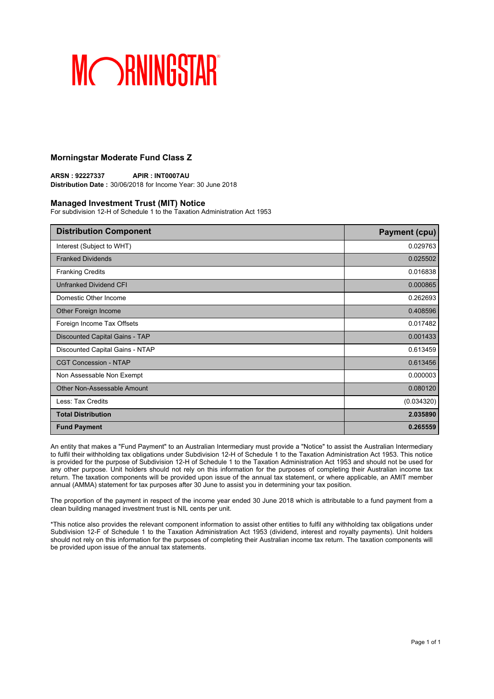## **Morningstar Moderate Fund Class Z**

**ARSN : 92227337 APIR : INT0007AU Distribution Date :** 30/06/2018 for Income Year: 30 June 2018

### **Managed Investment Trust (MIT) Notice**

For subdivision 12-H of Schedule 1 to the Taxation Administration Act 1953

| <b>Distribution Component</b>   | <b>Payment (cpu)</b> |
|---------------------------------|----------------------|
| Interest (Subject to WHT)       | 0.029763             |
| <b>Franked Dividends</b>        | 0.025502             |
| <b>Franking Credits</b>         | 0.016838             |
| <b>Unfranked Dividend CFI</b>   | 0.000865             |
| Domestic Other Income           | 0.262693             |
| Other Foreign Income            | 0.408596             |
| Foreign Income Tax Offsets      | 0.017482             |
| Discounted Capital Gains - TAP  | 0.001433             |
| Discounted Capital Gains - NTAP | 0.613459             |
| <b>CGT Concession - NTAP</b>    | 0.613456             |
| Non Assessable Non Exempt       | 0.000003             |
| Other Non-Assessable Amount     | 0.080120             |
| Less: Tax Credits               | (0.034320)           |
| <b>Total Distribution</b>       | 2.035890             |
| <b>Fund Payment</b>             | 0.265559             |

An entity that makes a "Fund Payment" to an Australian Intermediary must provide a "Notice" to assist the Australian Intermediary to fulfil their withholding tax obligations under Subdivision 12-H of Schedule 1 to the Taxation Administration Act 1953. This notice is provided for the purpose of Subdivision 12-H of Schedule 1 to the Taxation Administration Act 1953 and should not be used for any other purpose. Unit holders should not rely on this information for the purposes of completing their Australian income tax return. The taxation components will be provided upon issue of the annual tax statement, or where applicable, an AMIT member annual (AMMA) statement for tax purposes after 30 June to assist you in determining your tax position.

The proportion of the payment in respect of the income year ended 30 June 2018 which is attributable to a fund payment from a clean building managed investment trust is NIL cents per unit.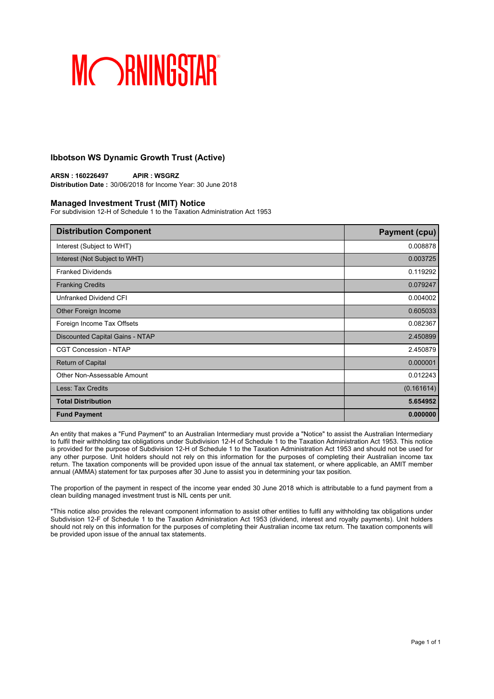## **Ibbotson WS Dynamic Growth Trust (Active)**

**ARSN : 160226497 APIR : WSGRZ Distribution Date :** 30/06/2018 for Income Year: 30 June 2018

### **Managed Investment Trust (MIT) Notice**

For subdivision 12-H of Schedule 1 to the Taxation Administration Act 1953

| <b>Distribution Component</b>   | <b>Payment (cpu)</b> |
|---------------------------------|----------------------|
| Interest (Subject to WHT)       | 0.008878             |
| Interest (Not Subject to WHT)   | 0.003725             |
| <b>Franked Dividends</b>        | 0.119292             |
| <b>Franking Credits</b>         | 0.079247             |
| Unfranked Dividend CFI          | 0.004002             |
| Other Foreign Income            | 0.605033             |
| Foreign Income Tax Offsets      | 0.082367             |
| Discounted Capital Gains - NTAP | 2.450899             |
| <b>CGT Concession - NTAP</b>    | 2.450879             |
| <b>Return of Capital</b>        | 0.000001             |
| Other Non-Assessable Amount     | 0.012243             |
| Less: Tax Credits               | (0.161614)           |
| <b>Total Distribution</b>       | 5.654952             |
| <b>Fund Payment</b>             | 0.000000             |

An entity that makes a "Fund Payment" to an Australian Intermediary must provide a "Notice" to assist the Australian Intermediary to fulfil their withholding tax obligations under Subdivision 12-H of Schedule 1 to the Taxation Administration Act 1953. This notice is provided for the purpose of Subdivision 12-H of Schedule 1 to the Taxation Administration Act 1953 and should not be used for any other purpose. Unit holders should not rely on this information for the purposes of completing their Australian income tax return. The taxation components will be provided upon issue of the annual tax statement, or where applicable, an AMIT member annual (AMMA) statement for tax purposes after 30 June to assist you in determining your tax position.

The proportion of the payment in respect of the income year ended 30 June 2018 which is attributable to a fund payment from a clean building managed investment trust is NIL cents per unit.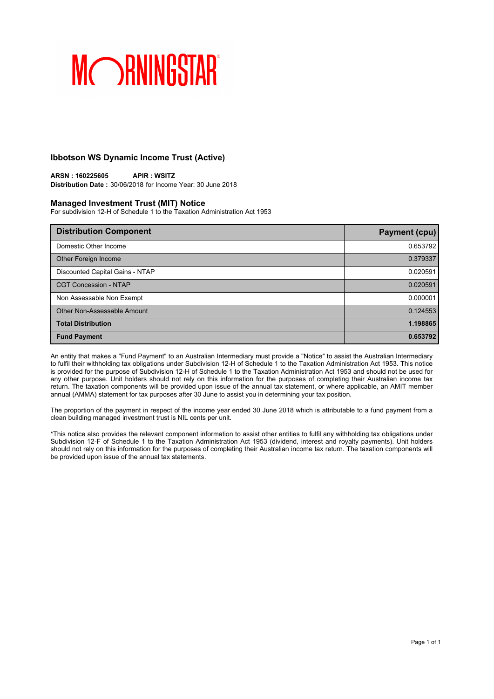## **Ibbotson WS Dynamic Income Trust (Active)**

**ARSN : 160225605 APIR : WSITZ Distribution Date :** 30/06/2018 for Income Year: 30 June 2018

### **Managed Investment Trust (MIT) Notice**

For subdivision 12-H of Schedule 1 to the Taxation Administration Act 1953

| <b>Distribution Component</b>   | <b>Payment (cpu)</b> |
|---------------------------------|----------------------|
| Domestic Other Income           | 0.653792             |
| Other Foreign Income            | 0.379337             |
| Discounted Capital Gains - NTAP | 0.020591             |
| <b>CGT Concession - NTAP</b>    | 0.020591             |
| Non Assessable Non Exempt       | 0.000001             |
| Other Non-Assessable Amount     | 0.124553             |
| <b>Total Distribution</b>       | 1.198865             |
| <b>Fund Payment</b>             | 0.653792             |

An entity that makes a "Fund Payment" to an Australian Intermediary must provide a "Notice" to assist the Australian Intermediary to fulfil their withholding tax obligations under Subdivision 12-H of Schedule 1 to the Taxation Administration Act 1953. This notice is provided for the purpose of Subdivision 12-H of Schedule 1 to the Taxation Administration Act 1953 and should not be used for any other purpose. Unit holders should not rely on this information for the purposes of completing their Australian income tax return. The taxation components will be provided upon issue of the annual tax statement, or where applicable, an AMIT member annual (AMMA) statement for tax purposes after 30 June to assist you in determining your tax position.

The proportion of the payment in respect of the income year ended 30 June 2018 which is attributable to a fund payment from a clean building managed investment trust is NIL cents per unit.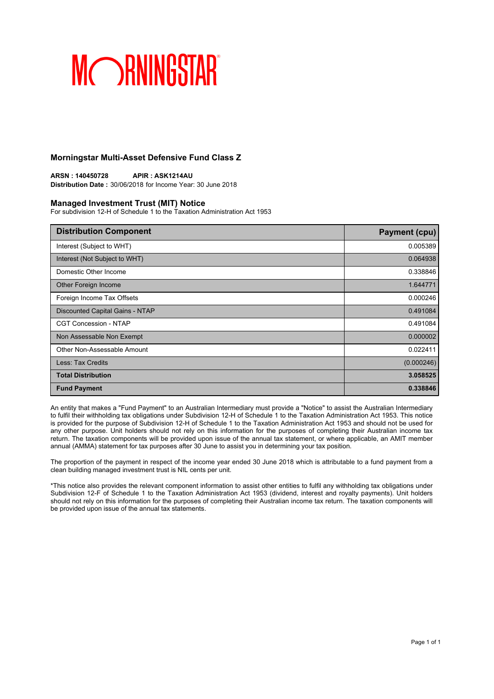## **Morningstar Multi-Asset Defensive Fund Class Z**

**ARSN : 140450728 APIR : ASK1214AU Distribution Date :** 30/06/2018 for Income Year: 30 June 2018

### **Managed Investment Trust (MIT) Notice**

For subdivision 12-H of Schedule 1 to the Taxation Administration Act 1953

| <b>Distribution Component</b>   | <b>Payment (cpu)</b> |
|---------------------------------|----------------------|
| Interest (Subject to WHT)       | 0.005389             |
| Interest (Not Subject to WHT)   | 0.064938             |
| Domestic Other Income           | 0.338846             |
| Other Foreign Income            | 1.644771             |
| Foreign Income Tax Offsets      | 0.000246             |
| Discounted Capital Gains - NTAP | 0.491084             |
| <b>CGT Concession - NTAP</b>    | 0.491084             |
| Non Assessable Non Exempt       | 0.000002             |
| Other Non-Assessable Amount     | 0.022411             |
| Less: Tax Credits               | (0.000246)           |
| <b>Total Distribution</b>       | 3.058525             |
| <b>Fund Payment</b>             | 0.338846             |

An entity that makes a "Fund Payment" to an Australian Intermediary must provide a "Notice" to assist the Australian Intermediary to fulfil their withholding tax obligations under Subdivision 12-H of Schedule 1 to the Taxation Administration Act 1953. This notice is provided for the purpose of Subdivision 12-H of Schedule 1 to the Taxation Administration Act 1953 and should not be used for any other purpose. Unit holders should not rely on this information for the purposes of completing their Australian income tax return. The taxation components will be provided upon issue of the annual tax statement, or where applicable, an AMIT member annual (AMMA) statement for tax purposes after 30 June to assist you in determining your tax position.

The proportion of the payment in respect of the income year ended 30 June 2018 which is attributable to a fund payment from a clean building managed investment trust is NIL cents per unit.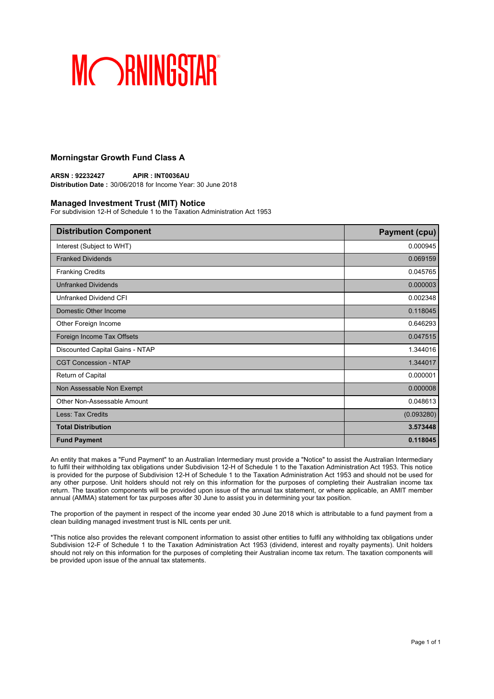## **Morningstar Growth Fund Class A**

**ARSN : 92232427 APIR : INT0036AU Distribution Date :** 30/06/2018 for Income Year: 30 June 2018

### **Managed Investment Trust (MIT) Notice**

For subdivision 12-H of Schedule 1 to the Taxation Administration Act 1953

| <b>Distribution Component</b>   | <b>Payment (cpu)</b> |
|---------------------------------|----------------------|
| Interest (Subject to WHT)       | 0.000945             |
| <b>Franked Dividends</b>        | 0.069159             |
| <b>Franking Credits</b>         | 0.045765             |
| <b>Unfranked Dividends</b>      | 0.000003             |
| Unfranked Dividend CFI          | 0.002348             |
| Domestic Other Income           | 0.118045             |
| Other Foreign Income            | 0.646293             |
| Foreign Income Tax Offsets      | 0.047515             |
| Discounted Capital Gains - NTAP | 1.344016             |
| <b>CGT Concession - NTAP</b>    | 1.344017             |
| Return of Capital               | 0.000001             |
| Non Assessable Non Exempt       | 0.000008             |
| Other Non-Assessable Amount     | 0.048613             |
| Less: Tax Credits               | (0.093280)           |
| <b>Total Distribution</b>       | 3.573448             |
| <b>Fund Payment</b>             | 0.118045             |

An entity that makes a "Fund Payment" to an Australian Intermediary must provide a "Notice" to assist the Australian Intermediary to fulfil their withholding tax obligations under Subdivision 12-H of Schedule 1 to the Taxation Administration Act 1953. This notice is provided for the purpose of Subdivision 12-H of Schedule 1 to the Taxation Administration Act 1953 and should not be used for any other purpose. Unit holders should not rely on this information for the purposes of completing their Australian income tax return. The taxation components will be provided upon issue of the annual tax statement, or where applicable, an AMIT member annual (AMMA) statement for tax purposes after 30 June to assist you in determining your tax position.

The proportion of the payment in respect of the income year ended 30 June 2018 which is attributable to a fund payment from a clean building managed investment trust is NIL cents per unit.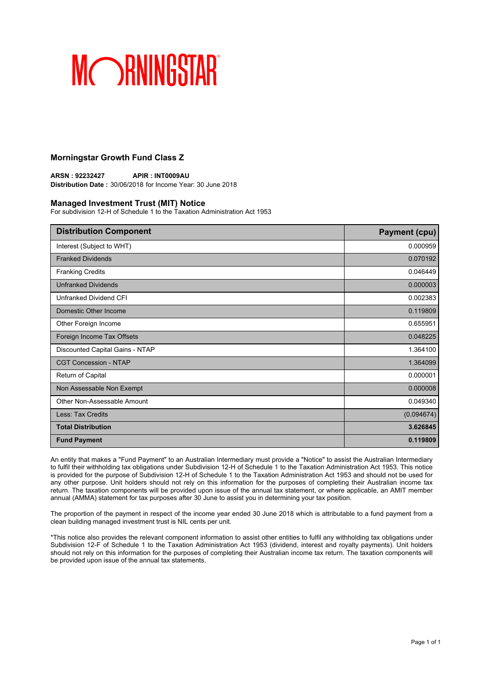## **Morningstar Growth Fund Class Z**

**ARSN : 92232427 APIR : INT0009AU Distribution Date :** 30/06/2018 for Income Year: 30 June 2018

### **Managed Investment Trust (MIT) Notice**

For subdivision 12-H of Schedule 1 to the Taxation Administration Act 1953

| <b>Distribution Component</b>   | <b>Payment (cpu)</b> |
|---------------------------------|----------------------|
| Interest (Subject to WHT)       | 0.000959             |
| <b>Franked Dividends</b>        | 0.070192             |
| <b>Franking Credits</b>         | 0.046449             |
| <b>Unfranked Dividends</b>      | 0.000003             |
| Unfranked Dividend CFI          | 0.002383             |
| Domestic Other Income           | 0.119809             |
| Other Foreign Income            | 0.655951             |
| Foreign Income Tax Offsets      | 0.048225             |
| Discounted Capital Gains - NTAP | 1.364100             |
| <b>CGT Concession - NTAP</b>    | 1.364099             |
| Return of Capital               | 0.000001             |
| Non Assessable Non Exempt       | 0.000008             |
| Other Non-Assessable Amount     | 0.049340             |
| Less: Tax Credits               | (0.094674)           |
| <b>Total Distribution</b>       | 3.626845             |
| <b>Fund Payment</b>             | 0.119809             |

An entity that makes a "Fund Payment" to an Australian Intermediary must provide a "Notice" to assist the Australian Intermediary to fulfil their withholding tax obligations under Subdivision 12-H of Schedule 1 to the Taxation Administration Act 1953. This notice is provided for the purpose of Subdivision 12-H of Schedule 1 to the Taxation Administration Act 1953 and should not be used for any other purpose. Unit holders should not rely on this information for the purposes of completing their Australian income tax return. The taxation components will be provided upon issue of the annual tax statement, or where applicable, an AMIT member annual (AMMA) statement for tax purposes after 30 June to assist you in determining your tax position.

The proportion of the payment in respect of the income year ended 30 June 2018 which is attributable to a fund payment from a clean building managed investment trust is NIL cents per unit.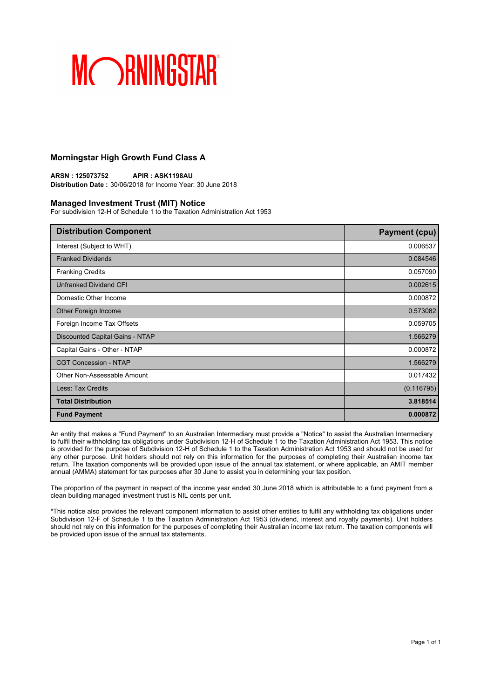## **Morningstar High Growth Fund Class A**

**ARSN : 125073752 APIR : ASK1198AU Distribution Date :** 30/06/2018 for Income Year: 30 June 2018

### **Managed Investment Trust (MIT) Notice**

For subdivision 12-H of Schedule 1 to the Taxation Administration Act 1953

| <b>Distribution Component</b>   | <b>Payment (cpu)</b> |
|---------------------------------|----------------------|
| Interest (Subject to WHT)       | 0.006537             |
| <b>Franked Dividends</b>        | 0.084546             |
| <b>Franking Credits</b>         | 0.057090             |
| <b>Unfranked Dividend CFI</b>   | 0.002615             |
| Domestic Other Income           | 0.000872             |
| Other Foreign Income            | 0.573082             |
| Foreign Income Tax Offsets      | 0.059705             |
| Discounted Capital Gains - NTAP | 1.566279             |
| Capital Gains - Other - NTAP    | 0.000872             |
| <b>CGT Concession - NTAP</b>    | 1.566279             |
| Other Non-Assessable Amount     | 0.017432             |
| Less: Tax Credits               | (0.116795)           |
| <b>Total Distribution</b>       | 3.818514             |
| <b>Fund Payment</b>             | 0.000872             |

An entity that makes a "Fund Payment" to an Australian Intermediary must provide a "Notice" to assist the Australian Intermediary to fulfil their withholding tax obligations under Subdivision 12-H of Schedule 1 to the Taxation Administration Act 1953. This notice is provided for the purpose of Subdivision 12-H of Schedule 1 to the Taxation Administration Act 1953 and should not be used for any other purpose. Unit holders should not rely on this information for the purposes of completing their Australian income tax return. The taxation components will be provided upon issue of the annual tax statement, or where applicable, an AMIT member annual (AMMA) statement for tax purposes after 30 June to assist you in determining your tax position.

The proportion of the payment in respect of the income year ended 30 June 2018 which is attributable to a fund payment from a clean building managed investment trust is NIL cents per unit.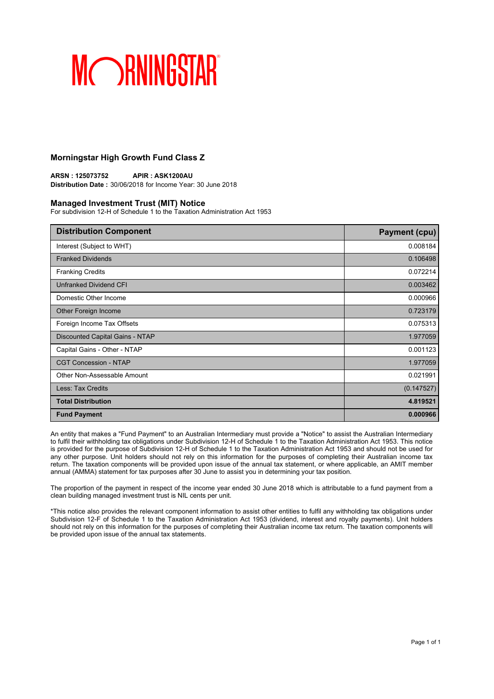## **Morningstar High Growth Fund Class Z**

**ARSN : 125073752 APIR : ASK1200AU Distribution Date :** 30/06/2018 for Income Year: 30 June 2018

### **Managed Investment Trust (MIT) Notice**

For subdivision 12-H of Schedule 1 to the Taxation Administration Act 1953

| <b>Distribution Component</b>   | <b>Payment (cpu)</b> |
|---------------------------------|----------------------|
| Interest (Subject to WHT)       | 0.008184             |
| <b>Franked Dividends</b>        | 0.106498             |
| <b>Franking Credits</b>         | 0.072214             |
| Unfranked Dividend CFI          | 0.003462             |
| Domestic Other Income           | 0.000966             |
| Other Foreign Income            | 0.723179             |
| Foreign Income Tax Offsets      | 0.075313             |
| Discounted Capital Gains - NTAP | 1.977059             |
| Capital Gains - Other - NTAP    | 0.001123             |
| <b>CGT Concession - NTAP</b>    | 1.977059             |
| Other Non-Assessable Amount     | 0.021991             |
| Less: Tax Credits               | (0.147527)           |
| <b>Total Distribution</b>       | 4.819521             |
| <b>Fund Payment</b>             | 0.000966             |

An entity that makes a "Fund Payment" to an Australian Intermediary must provide a "Notice" to assist the Australian Intermediary to fulfil their withholding tax obligations under Subdivision 12-H of Schedule 1 to the Taxation Administration Act 1953. This notice is provided for the purpose of Subdivision 12-H of Schedule 1 to the Taxation Administration Act 1953 and should not be used for any other purpose. Unit holders should not rely on this information for the purposes of completing their Australian income tax return. The taxation components will be provided upon issue of the annual tax statement, or where applicable, an AMIT member annual (AMMA) statement for tax purposes after 30 June to assist you in determining your tax position.

The proportion of the payment in respect of the income year ended 30 June 2018 which is attributable to a fund payment from a clean building managed investment trust is NIL cents per unit.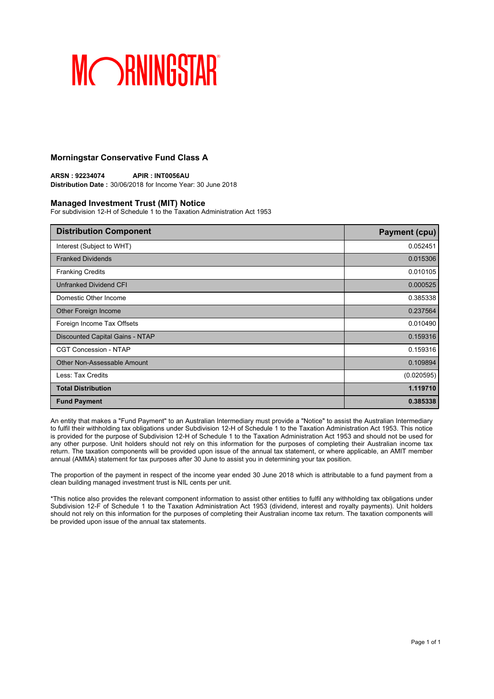## **Morningstar Conservative Fund Class A**

**ARSN : 92234074 APIR : INT0056AU Distribution Date :** 30/06/2018 for Income Year: 30 June 2018

### **Managed Investment Trust (MIT) Notice**

For subdivision 12-H of Schedule 1 to the Taxation Administration Act 1953

| <b>Distribution Component</b>   | <b>Payment (cpu)</b> |
|---------------------------------|----------------------|
| Interest (Subject to WHT)       | 0.052451             |
| <b>Franked Dividends</b>        | 0.015306             |
| <b>Franking Credits</b>         | 0.010105             |
| <b>Unfranked Dividend CFI</b>   | 0.000525             |
| Domestic Other Income           | 0.385338             |
| Other Foreign Income            | 0.237564             |
| Foreign Income Tax Offsets      | 0.010490             |
| Discounted Capital Gains - NTAP | 0.159316             |
| <b>CGT Concession - NTAP</b>    | 0.159316             |
| Other Non-Assessable Amount     | 0.109894             |
| Less: Tax Credits               | (0.020595)           |
| <b>Total Distribution</b>       | 1.119710             |
| <b>Fund Payment</b>             | 0.385338             |

An entity that makes a "Fund Payment" to an Australian Intermediary must provide a "Notice" to assist the Australian Intermediary to fulfil their withholding tax obligations under Subdivision 12-H of Schedule 1 to the Taxation Administration Act 1953. This notice is provided for the purpose of Subdivision 12-H of Schedule 1 to the Taxation Administration Act 1953 and should not be used for any other purpose. Unit holders should not rely on this information for the purposes of completing their Australian income tax return. The taxation components will be provided upon issue of the annual tax statement, or where applicable, an AMIT member annual (AMMA) statement for tax purposes after 30 June to assist you in determining your tax position.

The proportion of the payment in respect of the income year ended 30 June 2018 which is attributable to a fund payment from a clean building managed investment trust is NIL cents per unit.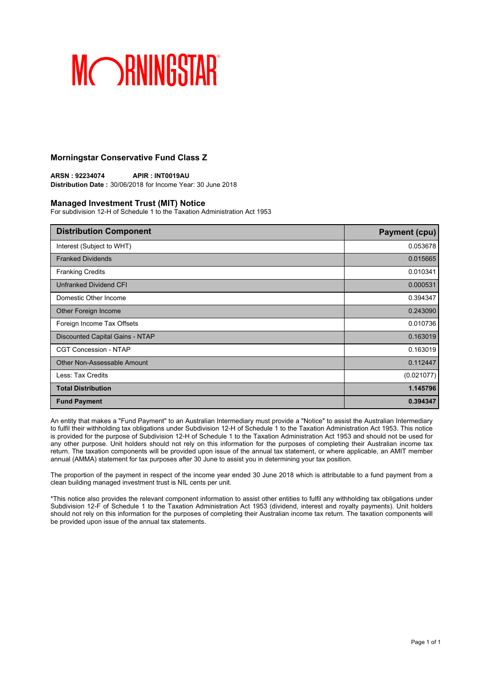## **Morningstar Conservative Fund Class Z**

**ARSN : 92234074 APIR : INT0019AU Distribution Date :** 30/06/2018 for Income Year: 30 June 2018

### **Managed Investment Trust (MIT) Notice**

For subdivision 12-H of Schedule 1 to the Taxation Administration Act 1953

| <b>Distribution Component</b>   | <b>Payment (cpu)</b> |
|---------------------------------|----------------------|
| Interest (Subject to WHT)       | 0.053678             |
| <b>Franked Dividends</b>        | 0.015665             |
| <b>Franking Credits</b>         | 0.010341             |
| <b>Unfranked Dividend CFI</b>   | 0.000531             |
| Domestic Other Income           | 0.394347             |
| Other Foreign Income            | 0.243090             |
| Foreign Income Tax Offsets      | 0.010736             |
| Discounted Capital Gains - NTAP | 0.163019             |
| <b>CGT Concession - NTAP</b>    | 0.163019             |
| Other Non-Assessable Amount     | 0.112447             |
| Less: Tax Credits               | (0.021077)           |
| <b>Total Distribution</b>       | 1.145796             |
| <b>Fund Payment</b>             | 0.394347             |

An entity that makes a "Fund Payment" to an Australian Intermediary must provide a "Notice" to assist the Australian Intermediary to fulfil their withholding tax obligations under Subdivision 12-H of Schedule 1 to the Taxation Administration Act 1953. This notice is provided for the purpose of Subdivision 12-H of Schedule 1 to the Taxation Administration Act 1953 and should not be used for any other purpose. Unit holders should not rely on this information for the purposes of completing their Australian income tax return. The taxation components will be provided upon issue of the annual tax statement, or where applicable, an AMIT member annual (AMMA) statement for tax purposes after 30 June to assist you in determining your tax position.

The proportion of the payment in respect of the income year ended 30 June 2018 which is attributable to a fund payment from a clean building managed investment trust is NIL cents per unit.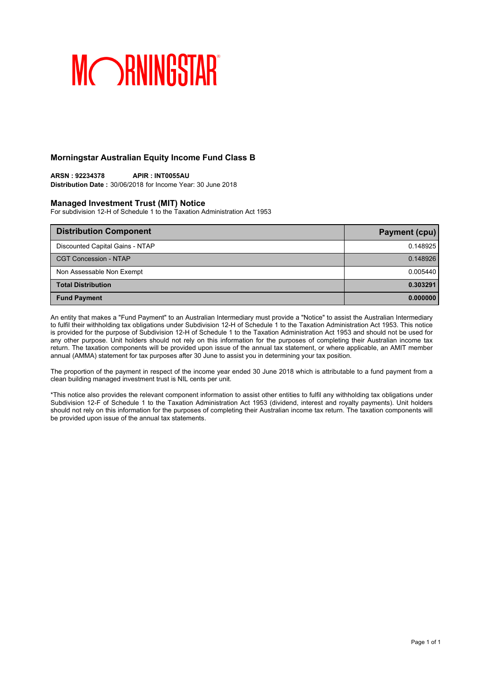## **Morningstar Australian Equity Income Fund Class B**

## **ARSN : 92234378 APIR : INT0055AU**

**Distribution Date :** 30/06/2018 for Income Year: 30 June 2018

### **Managed Investment Trust (MIT) Notice**

For subdivision 12-H of Schedule 1 to the Taxation Administration Act 1953

| <b>Distribution Component</b>   | Payment (cpu) |
|---------------------------------|---------------|
| Discounted Capital Gains - NTAP | 0.148925      |
| <b>CGT Concession - NTAP</b>    | 0.148926      |
| Non Assessable Non Exempt       | 0.005440      |
| <b>Total Distribution</b>       | 0.303291      |
| <b>Fund Payment</b>             | 0.000000      |

An entity that makes a "Fund Payment" to an Australian Intermediary must provide a "Notice" to assist the Australian Intermediary to fulfil their withholding tax obligations under Subdivision 12-H of Schedule 1 to the Taxation Administration Act 1953. This notice is provided for the purpose of Subdivision 12-H of Schedule 1 to the Taxation Administration Act 1953 and should not be used for any other purpose. Unit holders should not rely on this information for the purposes of completing their Australian income tax return. The taxation components will be provided upon issue of the annual tax statement, or where applicable, an AMIT member annual (AMMA) statement for tax purposes after 30 June to assist you in determining your tax position.

The proportion of the payment in respect of the income year ended 30 June 2018 which is attributable to a fund payment from a clean building managed investment trust is NIL cents per unit.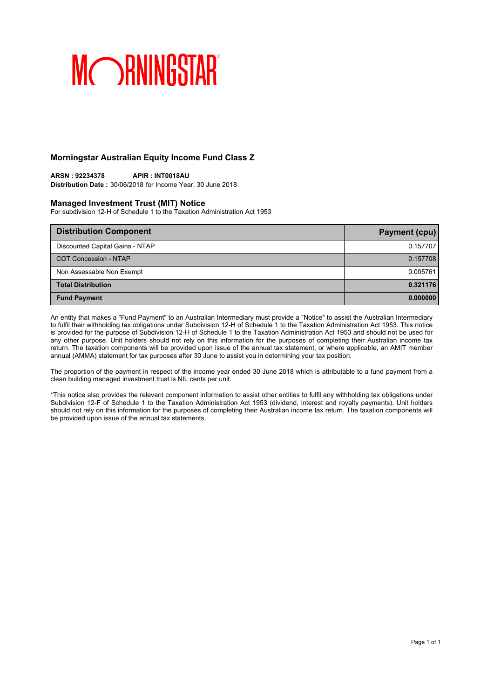## **Morningstar Australian Equity Income Fund Class Z**

## **ARSN : 92234378 APIR : INT0018AU**

**Distribution Date :** 30/06/2018 for Income Year: 30 June 2018

### **Managed Investment Trust (MIT) Notice**

For subdivision 12-H of Schedule 1 to the Taxation Administration Act 1953

| <b>Distribution Component</b>   | Payment (cpu) |
|---------------------------------|---------------|
| Discounted Capital Gains - NTAP | 0.157707      |
| <b>CGT Concession - NTAP</b>    | 0.157708      |
| Non Assessable Non Exempt       | 0.005761      |
| <b>Total Distribution</b>       | 0.321176      |
| <b>Fund Payment</b>             | 0.000000      |

An entity that makes a "Fund Payment" to an Australian Intermediary must provide a "Notice" to assist the Australian Intermediary to fulfil their withholding tax obligations under Subdivision 12-H of Schedule 1 to the Taxation Administration Act 1953. This notice is provided for the purpose of Subdivision 12-H of Schedule 1 to the Taxation Administration Act 1953 and should not be used for any other purpose. Unit holders should not rely on this information for the purposes of completing their Australian income tax return. The taxation components will be provided upon issue of the annual tax statement, or where applicable, an AMIT member annual (AMMA) statement for tax purposes after 30 June to assist you in determining your tax position.

The proportion of the payment in respect of the income year ended 30 June 2018 which is attributable to a fund payment from a clean building managed investment trust is NIL cents per unit.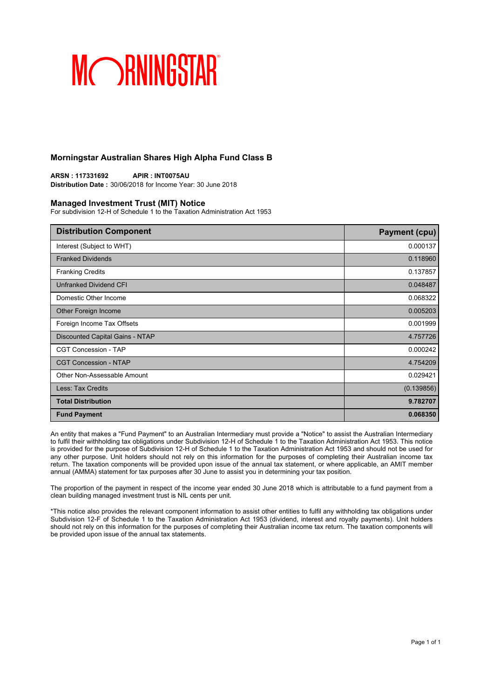## **Morningstar Australian Shares High Alpha Fund Class B**

**ARSN : 117331692 APIR : INT0075AU Distribution Date :** 30/06/2018 for Income Year: 30 June 2018

### **Managed Investment Trust (MIT) Notice**

For subdivision 12-H of Schedule 1 to the Taxation Administration Act 1953

| <b>Distribution Component</b>   | <b>Payment (cpu)</b> |
|---------------------------------|----------------------|
| Interest (Subject to WHT)       | 0.000137             |
| <b>Franked Dividends</b>        | 0.118960             |
| <b>Franking Credits</b>         | 0.137857             |
| Unfranked Dividend CFI          | 0.048487             |
| Domestic Other Income           | 0.068322             |
| Other Foreign Income            | 0.005203             |
| Foreign Income Tax Offsets      | 0.001999             |
| Discounted Capital Gains - NTAP | 4.757726             |
| <b>CGT Concession - TAP</b>     | 0.000242             |
| <b>CGT Concession - NTAP</b>    | 4.754209             |
| Other Non-Assessable Amount     | 0.029421             |
| Less: Tax Credits               | (0.139856)           |
| <b>Total Distribution</b>       | 9.782707             |
| <b>Fund Payment</b>             | 0.068350             |

An entity that makes a "Fund Payment" to an Australian Intermediary must provide a "Notice" to assist the Australian Intermediary to fulfil their withholding tax obligations under Subdivision 12-H of Schedule 1 to the Taxation Administration Act 1953. This notice is provided for the purpose of Subdivision 12-H of Schedule 1 to the Taxation Administration Act 1953 and should not be used for any other purpose. Unit holders should not rely on this information for the purposes of completing their Australian income tax return. The taxation components will be provided upon issue of the annual tax statement, or where applicable, an AMIT member annual (AMMA) statement for tax purposes after 30 June to assist you in determining your tax position.

The proportion of the payment in respect of the income year ended 30 June 2018 which is attributable to a fund payment from a clean building managed investment trust is NIL cents per unit.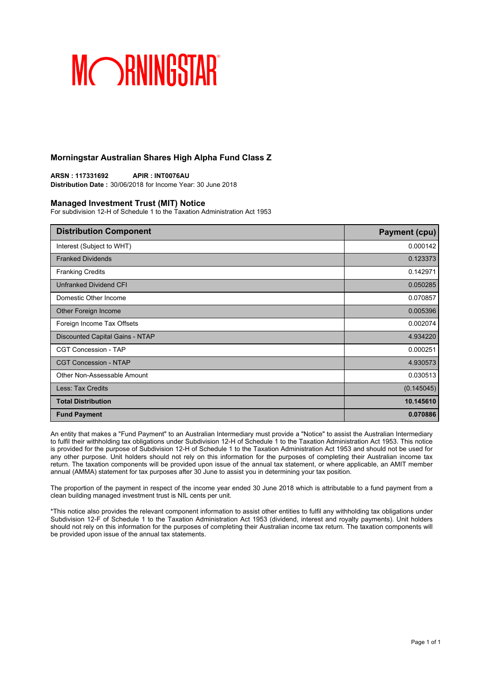## **Morningstar Australian Shares High Alpha Fund Class Z**

**ARSN : 117331692 APIR : INT0076AU Distribution Date :** 30/06/2018 for Income Year: 30 June 2018

### **Managed Investment Trust (MIT) Notice**

For subdivision 12-H of Schedule 1 to the Taxation Administration Act 1953

| <b>Distribution Component</b>   | <b>Payment (cpu)</b> |
|---------------------------------|----------------------|
| Interest (Subject to WHT)       | 0.000142             |
| <b>Franked Dividends</b>        | 0.123373             |
| <b>Franking Credits</b>         | 0.142971             |
| Unfranked Dividend CFI          | 0.050285             |
| Domestic Other Income           | 0.070857             |
| Other Foreign Income            | 0.005396             |
| Foreign Income Tax Offsets      | 0.002074             |
| Discounted Capital Gains - NTAP | 4.934220             |
| <b>CGT Concession - TAP</b>     | 0.000251             |
| <b>CGT Concession - NTAP</b>    | 4.930573             |
| Other Non-Assessable Amount     | 0.030513             |
| Less: Tax Credits               | (0.145045)           |
| <b>Total Distribution</b>       | 10.145610            |
| <b>Fund Payment</b>             | 0.070886             |

An entity that makes a "Fund Payment" to an Australian Intermediary must provide a "Notice" to assist the Australian Intermediary to fulfil their withholding tax obligations under Subdivision 12-H of Schedule 1 to the Taxation Administration Act 1953. This notice is provided for the purpose of Subdivision 12-H of Schedule 1 to the Taxation Administration Act 1953 and should not be used for any other purpose. Unit holders should not rely on this information for the purposes of completing their Australian income tax return. The taxation components will be provided upon issue of the annual tax statement, or where applicable, an AMIT member annual (AMMA) statement for tax purposes after 30 June to assist you in determining your tax position.

The proportion of the payment in respect of the income year ended 30 June 2018 which is attributable to a fund payment from a clean building managed investment trust is NIL cents per unit.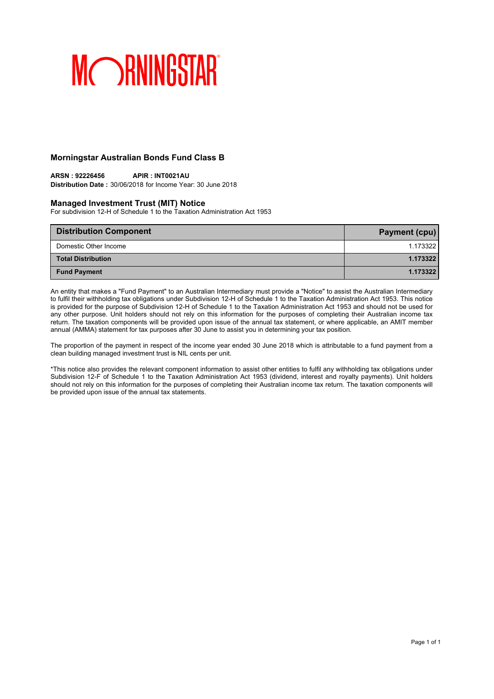## **Morningstar Australian Bonds Fund Class B**

### **ARSN : 92226456 APIR : INT0021AU Distribution Date :** 30/06/2018 for Income Year: 30 June 2018

## **Managed Investment Trust (MIT) Notice**

For subdivision 12-H of Schedule 1 to the Taxation Administration Act 1953

| <b>Distribution Component</b> | <b>Payment (cpu)</b> |
|-------------------------------|----------------------|
| Domestic Other Income         | 1.173322             |
| <b>Total Distribution</b>     | 1.173322             |
| <b>Fund Payment</b>           | 1.173322             |

An entity that makes a "Fund Payment" to an Australian Intermediary must provide a "Notice" to assist the Australian Intermediary to fulfil their withholding tax obligations under Subdivision 12-H of Schedule 1 to the Taxation Administration Act 1953. This notice is provided for the purpose of Subdivision 12-H of Schedule 1 to the Taxation Administration Act 1953 and should not be used for any other purpose. Unit holders should not rely on this information for the purposes of completing their Australian income tax return. The taxation components will be provided upon issue of the annual tax statement, or where applicable, an AMIT member annual (AMMA) statement for tax purposes after 30 June to assist you in determining your tax position.

The proportion of the payment in respect of the income year ended 30 June 2018 which is attributable to a fund payment from a clean building managed investment trust is NIL cents per unit.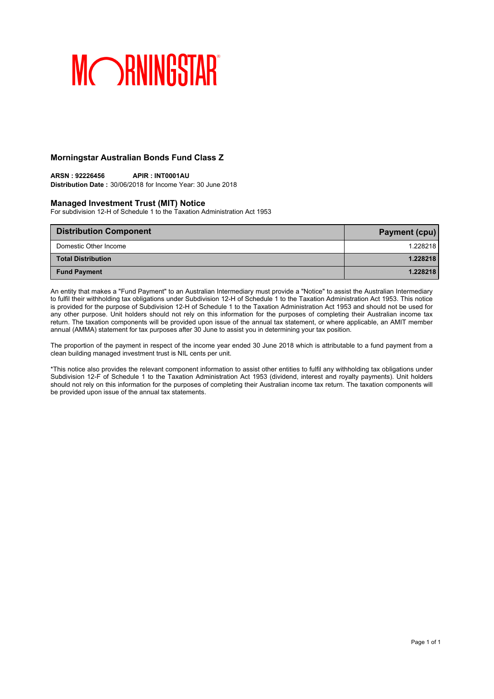## **Morningstar Australian Bonds Fund Class Z**

### **ARSN : 92226456 APIR : INT0001AU Distribution Date :** 30/06/2018 for Income Year: 30 June 2018

## **Managed Investment Trust (MIT) Notice**

For subdivision 12-H of Schedule 1 to the Taxation Administration Act 1953

| <b>Distribution Component</b> | Payment (cpu) |
|-------------------------------|---------------|
| Domestic Other Income         | 1.228218      |
| <b>Total Distribution</b>     | 1.228218      |
| <b>Fund Payment</b>           | 1.228218      |

An entity that makes a "Fund Payment" to an Australian Intermediary must provide a "Notice" to assist the Australian Intermediary to fulfil their withholding tax obligations under Subdivision 12-H of Schedule 1 to the Taxation Administration Act 1953. This notice is provided for the purpose of Subdivision 12-H of Schedule 1 to the Taxation Administration Act 1953 and should not be used for any other purpose. Unit holders should not rely on this information for the purposes of completing their Australian income tax return. The taxation components will be provided upon issue of the annual tax statement, or where applicable, an AMIT member annual (AMMA) statement for tax purposes after 30 June to assist you in determining your tax position.

The proportion of the payment in respect of the income year ended 30 June 2018 which is attributable to a fund payment from a clean building managed investment trust is NIL cents per unit.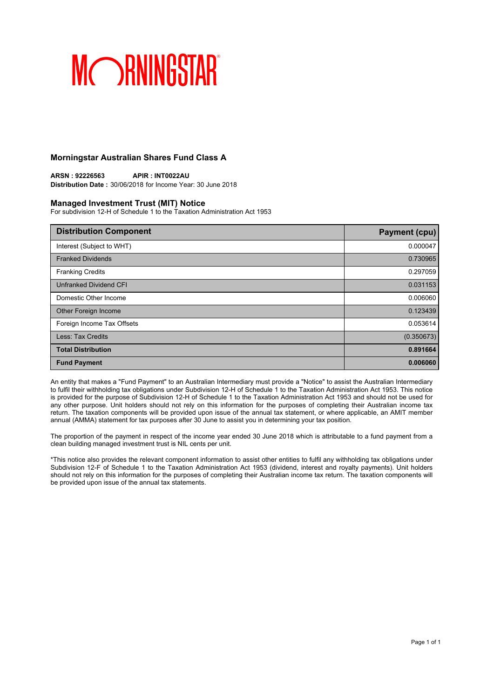## **Morningstar Australian Shares Fund Class A**

**ARSN : 92226563 APIR : INT0022AU Distribution Date :** 30/06/2018 for Income Year: 30 June 2018

### **Managed Investment Trust (MIT) Notice**

For subdivision 12-H of Schedule 1 to the Taxation Administration Act 1953

| <b>Distribution Component</b> | <b>Payment (cpu)</b> |
|-------------------------------|----------------------|
| Interest (Subject to WHT)     | 0.000047             |
| <b>Franked Dividends</b>      | 0.730965             |
| <b>Franking Credits</b>       | 0.297059             |
| <b>Unfranked Dividend CFI</b> | 0.031153             |
| Domestic Other Income         | 0.006060             |
| Other Foreign Income          | 0.123439             |
| Foreign Income Tax Offsets    | 0.053614             |
| Less: Tax Credits             | (0.350673)           |
| <b>Total Distribution</b>     | 0.891664             |
| <b>Fund Payment</b>           | 0.006060             |

An entity that makes a "Fund Payment" to an Australian Intermediary must provide a "Notice" to assist the Australian Intermediary to fulfil their withholding tax obligations under Subdivision 12-H of Schedule 1 to the Taxation Administration Act 1953. This notice is provided for the purpose of Subdivision 12-H of Schedule 1 to the Taxation Administration Act 1953 and should not be used for any other purpose. Unit holders should not rely on this information for the purposes of completing their Australian income tax return. The taxation components will be provided upon issue of the annual tax statement, or where applicable, an AMIT member annual (AMMA) statement for tax purposes after 30 June to assist you in determining your tax position.

The proportion of the payment in respect of the income year ended 30 June 2018 which is attributable to a fund payment from a clean building managed investment trust is NIL cents per unit.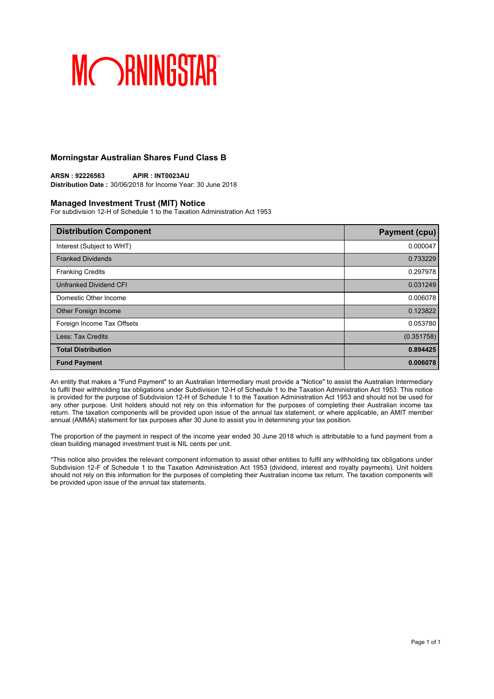## **Morningstar Australian Shares Fund Class B**

**ARSN : 92226563 APIR : INT0023AU Distribution Date :** 30/06/2018 for Income Year: 30 June 2018

### **Managed Investment Trust (MIT) Notice**

For subdivision 12-H of Schedule 1 to the Taxation Administration Act 1953

| <b>Distribution Component</b> | <b>Payment (cpu)</b> |
|-------------------------------|----------------------|
| Interest (Subject to WHT)     | 0.000047             |
| <b>Franked Dividends</b>      | 0.733229             |
| <b>Franking Credits</b>       | 0.297978             |
| <b>Unfranked Dividend CFI</b> | 0.031249             |
| Domestic Other Income         | 0.006078             |
| Other Foreign Income          | 0.123822             |
| Foreign Income Tax Offsets    | 0.053780             |
| Less: Tax Credits             | (0.351758)           |
| <b>Total Distribution</b>     | 0.894425             |
| <b>Fund Payment</b>           | 0.006078             |

An entity that makes a "Fund Payment" to an Australian Intermediary must provide a "Notice" to assist the Australian Intermediary to fulfil their withholding tax obligations under Subdivision 12-H of Schedule 1 to the Taxation Administration Act 1953. This notice is provided for the purpose of Subdivision 12-H of Schedule 1 to the Taxation Administration Act 1953 and should not be used for any other purpose. Unit holders should not rely on this information for the purposes of completing their Australian income tax return. The taxation components will be provided upon issue of the annual tax statement, or where applicable, an AMIT member annual (AMMA) statement for tax purposes after 30 June to assist you in determining your tax position.

The proportion of the payment in respect of the income year ended 30 June 2018 which is attributable to a fund payment from a clean building managed investment trust is NIL cents per unit.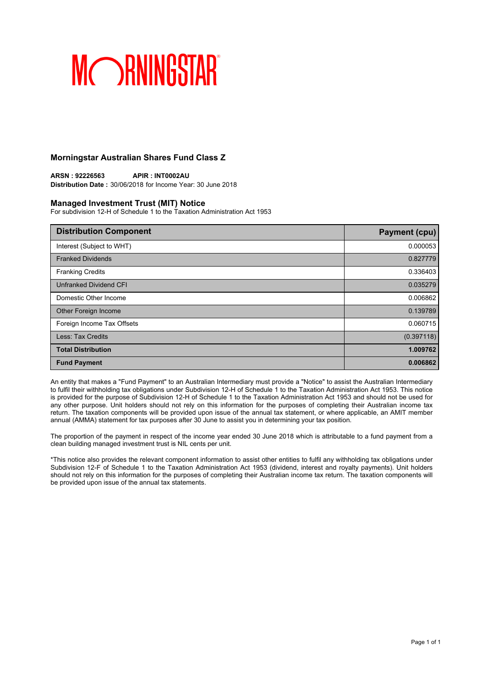## **Morningstar Australian Shares Fund Class Z**

**ARSN : 92226563 APIR : INT0002AU Distribution Date :** 30/06/2018 for Income Year: 30 June 2018

### **Managed Investment Trust (MIT) Notice**

For subdivision 12-H of Schedule 1 to the Taxation Administration Act 1953

| <b>Distribution Component</b> | <b>Payment (cpu)</b> |
|-------------------------------|----------------------|
| Interest (Subject to WHT)     | 0.000053             |
| <b>Franked Dividends</b>      | 0.827779             |
| <b>Franking Credits</b>       | 0.336403             |
| <b>Unfranked Dividend CFI</b> | 0.035279             |
| Domestic Other Income         | 0.006862             |
| Other Foreign Income          | 0.139789             |
| Foreign Income Tax Offsets    | 0.060715             |
| Less: Tax Credits             | (0.397118)           |
| <b>Total Distribution</b>     | 1.009762             |
| <b>Fund Payment</b>           | 0.006862             |

An entity that makes a "Fund Payment" to an Australian Intermediary must provide a "Notice" to assist the Australian Intermediary to fulfil their withholding tax obligations under Subdivision 12-H of Schedule 1 to the Taxation Administration Act 1953. This notice is provided for the purpose of Subdivision 12-H of Schedule 1 to the Taxation Administration Act 1953 and should not be used for any other purpose. Unit holders should not rely on this information for the purposes of completing their Australian income tax return. The taxation components will be provided upon issue of the annual tax statement, or where applicable, an AMIT member annual (AMMA) statement for tax purposes after 30 June to assist you in determining your tax position.

The proportion of the payment in respect of the income year ended 30 June 2018 which is attributable to a fund payment from a clean building managed investment trust is NIL cents per unit.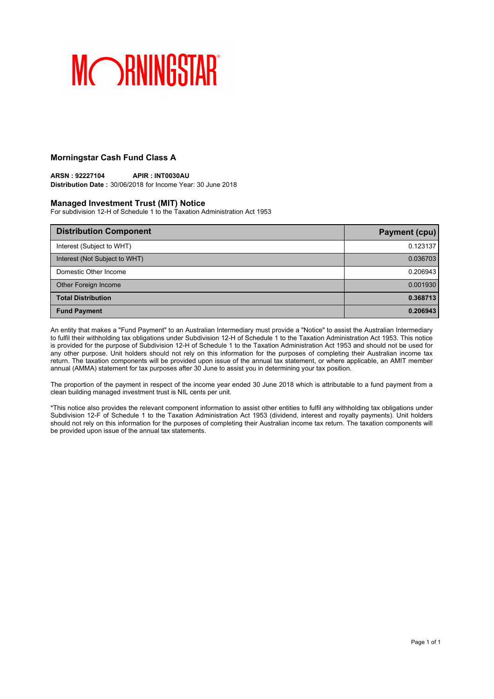## **Morningstar Cash Fund Class A**

### **ARSN : 92227104 APIR : INT0030AU Distribution Date :** 30/06/2018 for Income Year: 30 June 2018

## **Managed Investment Trust (MIT) Notice**

For subdivision 12-H of Schedule 1 to the Taxation Administration Act 1953

| <b>Distribution Component</b> | Payment (cpu) |
|-------------------------------|---------------|
| Interest (Subject to WHT)     | 0.123137      |
| Interest (Not Subject to WHT) | 0.036703      |
| Domestic Other Income         | 0.206943      |
| Other Foreign Income          | 0.001930      |
| <b>Total Distribution</b>     | 0.368713      |
| <b>Fund Payment</b>           | 0.206943      |

An entity that makes a "Fund Payment" to an Australian Intermediary must provide a "Notice" to assist the Australian Intermediary to fulfil their withholding tax obligations under Subdivision 12-H of Schedule 1 to the Taxation Administration Act 1953. This notice is provided for the purpose of Subdivision 12-H of Schedule 1 to the Taxation Administration Act 1953 and should not be used for any other purpose. Unit holders should not rely on this information for the purposes of completing their Australian income tax return. The taxation components will be provided upon issue of the annual tax statement, or where applicable, an AMIT member annual (AMMA) statement for tax purposes after 30 June to assist you in determining your tax position.

The proportion of the payment in respect of the income year ended 30 June 2018 which is attributable to a fund payment from a clean building managed investment trust is NIL cents per unit.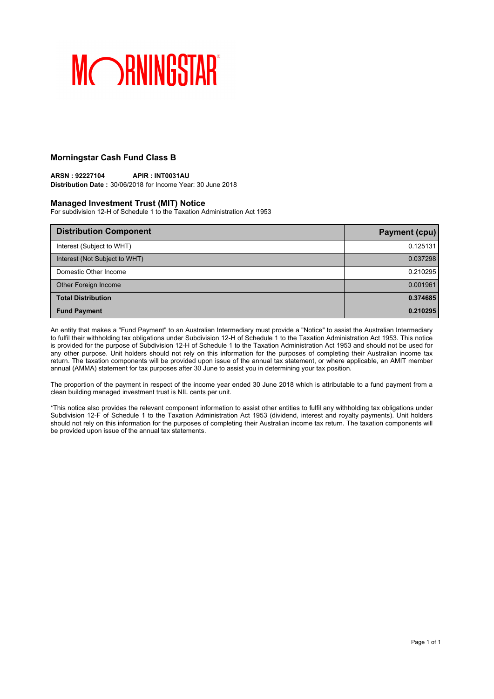## **Morningstar Cash Fund Class B**

### **ARSN : 92227104 APIR : INT0031AU Distribution Date :** 30/06/2018 for Income Year: 30 June 2018

### **Managed Investment Trust (MIT) Notice**

For subdivision 12-H of Schedule 1 to the Taxation Administration Act 1953

| <b>Distribution Component</b> | Payment (cpu) |
|-------------------------------|---------------|
| Interest (Subject to WHT)     | 0.125131      |
| Interest (Not Subject to WHT) | 0.037298      |
| Domestic Other Income         | 0.210295      |
| Other Foreign Income          | 0.001961      |
| <b>Total Distribution</b>     | 0.374685      |
| <b>Fund Payment</b>           | 0.210295      |

An entity that makes a "Fund Payment" to an Australian Intermediary must provide a "Notice" to assist the Australian Intermediary to fulfil their withholding tax obligations under Subdivision 12-H of Schedule 1 to the Taxation Administration Act 1953. This notice is provided for the purpose of Subdivision 12-H of Schedule 1 to the Taxation Administration Act 1953 and should not be used for any other purpose. Unit holders should not rely on this information for the purposes of completing their Australian income tax return. The taxation components will be provided upon issue of the annual tax statement, or where applicable, an AMIT member annual (AMMA) statement for tax purposes after 30 June to assist you in determining your tax position.

The proportion of the payment in respect of the income year ended 30 June 2018 which is attributable to a fund payment from a clean building managed investment trust is NIL cents per unit.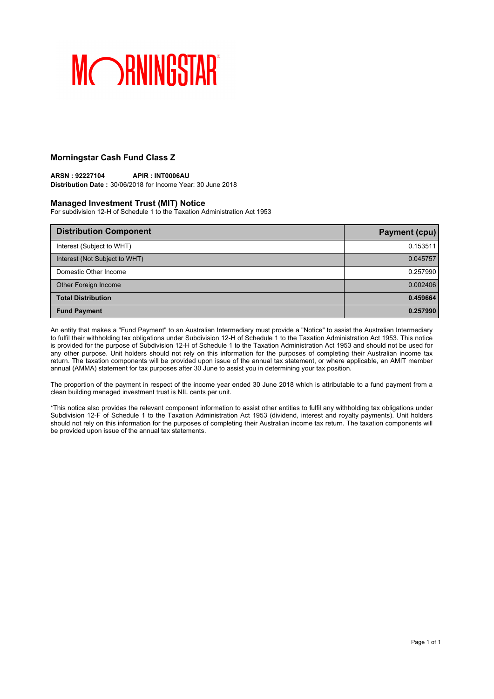## **Morningstar Cash Fund Class Z**

### **ARSN : 92227104 APIR : INT0006AU Distribution Date :** 30/06/2018 for Income Year: 30 June 2018

### **Managed Investment Trust (MIT) Notice**

For subdivision 12-H of Schedule 1 to the Taxation Administration Act 1953

| <b>Distribution Component</b> | Payment (cpu) |
|-------------------------------|---------------|
| Interest (Subject to WHT)     | 0.153511      |
| Interest (Not Subject to WHT) | 0.045757      |
| Domestic Other Income         | 0.257990      |
| Other Foreign Income          | 0.002406      |
| <b>Total Distribution</b>     | 0.459664      |
| <b>Fund Payment</b>           | 0.257990      |

An entity that makes a "Fund Payment" to an Australian Intermediary must provide a "Notice" to assist the Australian Intermediary to fulfil their withholding tax obligations under Subdivision 12-H of Schedule 1 to the Taxation Administration Act 1953. This notice is provided for the purpose of Subdivision 12-H of Schedule 1 to the Taxation Administration Act 1953 and should not be used for any other purpose. Unit holders should not rely on this information for the purposes of completing their Australian income tax return. The taxation components will be provided upon issue of the annual tax statement, or where applicable, an AMIT member annual (AMMA) statement for tax purposes after 30 June to assist you in determining your tax position.

The proportion of the payment in respect of the income year ended 30 June 2018 which is attributable to a fund payment from a clean building managed investment trust is NIL cents per unit.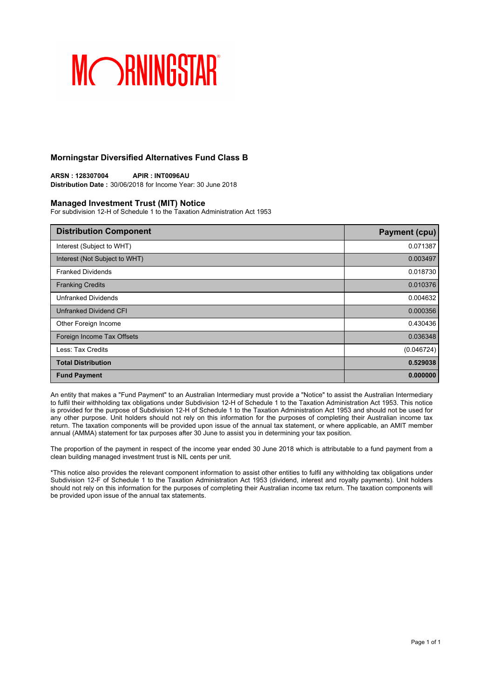## **Morningstar Diversified Alternatives Fund Class B**

**ARSN : 128307004 APIR : INT0096AU Distribution Date :** 30/06/2018 for Income Year: 30 June 2018

### **Managed Investment Trust (MIT) Notice**

For subdivision 12-H of Schedule 1 to the Taxation Administration Act 1953

| <b>Distribution Component</b> | <b>Payment (cpu)</b> |
|-------------------------------|----------------------|
| Interest (Subject to WHT)     | 0.071387             |
| Interest (Not Subject to WHT) | 0.003497             |
| <b>Franked Dividends</b>      | 0.018730             |
| <b>Franking Credits</b>       | 0.010376             |
| <b>Unfranked Dividends</b>    | 0.004632             |
| <b>Unfranked Dividend CFI</b> | 0.000356             |
| Other Foreign Income          | 0.430436             |
| Foreign Income Tax Offsets    | 0.036348             |
| Less: Tax Credits             | (0.046724)           |
| <b>Total Distribution</b>     | 0.529038             |
| <b>Fund Payment</b>           | 0.000000             |

An entity that makes a "Fund Payment" to an Australian Intermediary must provide a "Notice" to assist the Australian Intermediary to fulfil their withholding tax obligations under Subdivision 12-H of Schedule 1 to the Taxation Administration Act 1953. This notice is provided for the purpose of Subdivision 12-H of Schedule 1 to the Taxation Administration Act 1953 and should not be used for any other purpose. Unit holders should not rely on this information for the purposes of completing their Australian income tax return. The taxation components will be provided upon issue of the annual tax statement, or where applicable, an AMIT member annual (AMMA) statement for tax purposes after 30 June to assist you in determining your tax position.

The proportion of the payment in respect of the income year ended 30 June 2018 which is attributable to a fund payment from a clean building managed investment trust is NIL cents per unit.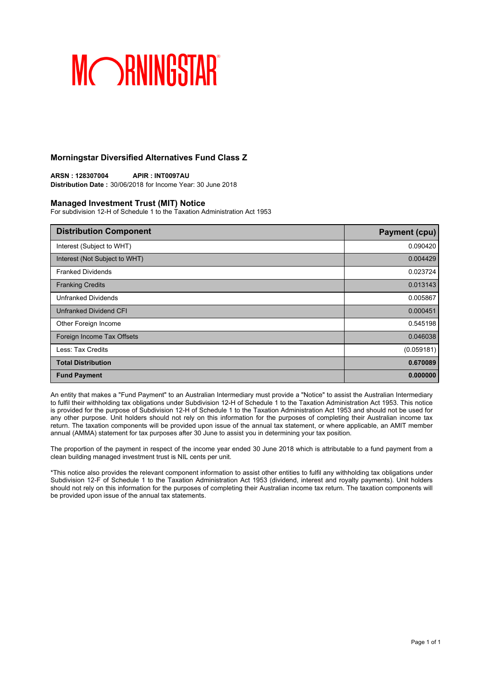## **Morningstar Diversified Alternatives Fund Class Z**

**ARSN : 128307004 APIR : INT0097AU Distribution Date :** 30/06/2018 for Income Year: 30 June 2018

### **Managed Investment Trust (MIT) Notice**

For subdivision 12-H of Schedule 1 to the Taxation Administration Act 1953

| <b>Distribution Component</b> | <b>Payment (cpu)</b> |
|-------------------------------|----------------------|
| Interest (Subject to WHT)     | 0.090420             |
| Interest (Not Subject to WHT) | 0.004429             |
| <b>Franked Dividends</b>      | 0.023724             |
| <b>Franking Credits</b>       | 0.013143             |
| <b>Unfranked Dividends</b>    | 0.005867             |
| Unfranked Dividend CFI        | 0.000451             |
| Other Foreign Income          | 0.545198             |
| Foreign Income Tax Offsets    | 0.046038             |
| Less: Tax Credits             | (0.059181)           |
| <b>Total Distribution</b>     | 0.670089             |
| <b>Fund Payment</b>           | 0.000000             |

An entity that makes a "Fund Payment" to an Australian Intermediary must provide a "Notice" to assist the Australian Intermediary to fulfil their withholding tax obligations under Subdivision 12-H of Schedule 1 to the Taxation Administration Act 1953. This notice is provided for the purpose of Subdivision 12-H of Schedule 1 to the Taxation Administration Act 1953 and should not be used for any other purpose. Unit holders should not rely on this information for the purposes of completing their Australian income tax return. The taxation components will be provided upon issue of the annual tax statement, or where applicable, an AMIT member annual (AMMA) statement for tax purposes after 30 June to assist you in determining your tax position.

The proportion of the payment in respect of the income year ended 30 June 2018 which is attributable to a fund payment from a clean building managed investment trust is NIL cents per unit.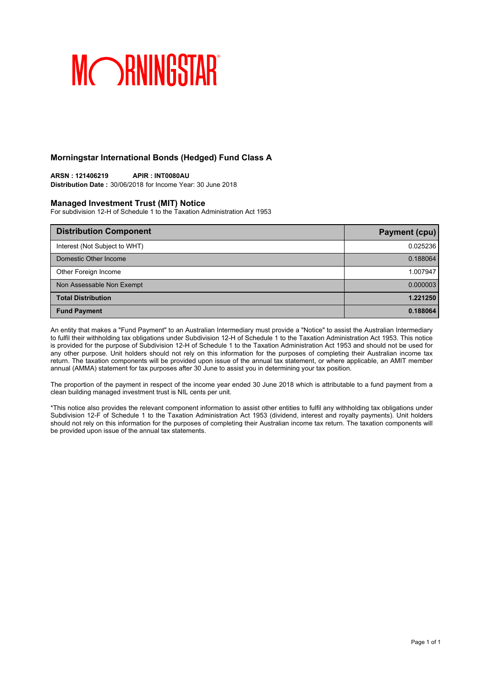## **Morningstar International Bonds (Hedged) Fund Class A**

## **ARSN : 121406219 APIR : INT0080AU**

**Distribution Date :** 30/06/2018 for Income Year: 30 June 2018

## **Managed Investment Trust (MIT) Notice**

For subdivision 12-H of Schedule 1 to the Taxation Administration Act 1953

| <b>Distribution Component</b> | <b>Payment (cpu)</b> |
|-------------------------------|----------------------|
| Interest (Not Subject to WHT) | 0.025236             |
| Domestic Other Income         | 0.188064             |
| Other Foreign Income          | 1.007947             |
| Non Assessable Non Exempt     | 0.000003             |
| <b>Total Distribution</b>     | 1.221250             |
| <b>Fund Payment</b>           | 0.188064             |

An entity that makes a "Fund Payment" to an Australian Intermediary must provide a "Notice" to assist the Australian Intermediary to fulfil their withholding tax obligations under Subdivision 12-H of Schedule 1 to the Taxation Administration Act 1953. This notice is provided for the purpose of Subdivision 12-H of Schedule 1 to the Taxation Administration Act 1953 and should not be used for any other purpose. Unit holders should not rely on this information for the purposes of completing their Australian income tax return. The taxation components will be provided upon issue of the annual tax statement, or where applicable, an AMIT member annual (AMMA) statement for tax purposes after 30 June to assist you in determining your tax position.

The proportion of the payment in respect of the income year ended 30 June 2018 which is attributable to a fund payment from a clean building managed investment trust is NIL cents per unit.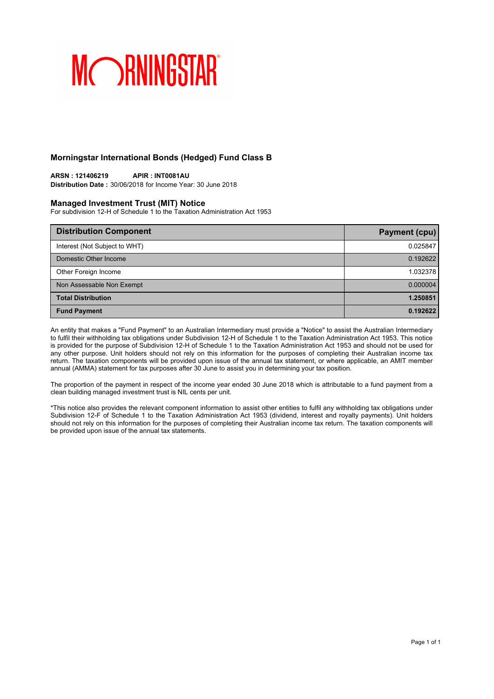## **Morningstar International Bonds (Hedged) Fund Class B**

### **ARSN : 121406219 APIR : INT0081AU Distribution Date :** 30/06/2018 for Income Year: 30 June 2018

## **Managed Investment Trust (MIT) Notice**

For subdivision 12-H of Schedule 1 to the Taxation Administration Act 1953

| <b>Distribution Component</b> | <b>Payment (cpu)</b> |
|-------------------------------|----------------------|
| Interest (Not Subject to WHT) | 0.025847             |
| Domestic Other Income         | 0.192622             |
| Other Foreign Income          | 1.032378             |
| Non Assessable Non Exempt     | 0.000004             |
| <b>Total Distribution</b>     | 1.250851             |
| <b>Fund Payment</b>           | 0.192622             |

An entity that makes a "Fund Payment" to an Australian Intermediary must provide a "Notice" to assist the Australian Intermediary to fulfil their withholding tax obligations under Subdivision 12-H of Schedule 1 to the Taxation Administration Act 1953. This notice is provided for the purpose of Subdivision 12-H of Schedule 1 to the Taxation Administration Act 1953 and should not be used for any other purpose. Unit holders should not rely on this information for the purposes of completing their Australian income tax return. The taxation components will be provided upon issue of the annual tax statement, or where applicable, an AMIT member annual (AMMA) statement for tax purposes after 30 June to assist you in determining your tax position.

The proportion of the payment in respect of the income year ended 30 June 2018 which is attributable to a fund payment from a clean building managed investment trust is NIL cents per unit.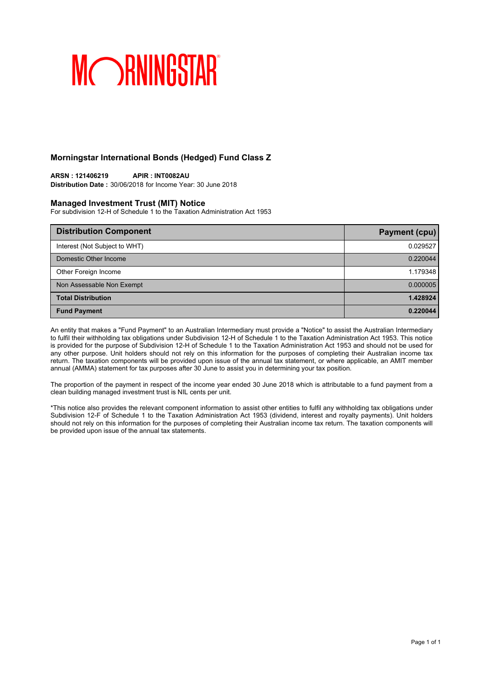## **Morningstar International Bonds (Hedged) Fund Class Z**

### **ARSN : 121406219 APIR : INT0082AU Distribution Date :** 30/06/2018 for Income Year: 30 June 2018

## **Managed Investment Trust (MIT) Notice**

For subdivision 12-H of Schedule 1 to the Taxation Administration Act 1953

| <b>Distribution Component</b> | <b>Payment (cpu)</b> |
|-------------------------------|----------------------|
| Interest (Not Subject to WHT) | 0.029527             |
| Domestic Other Income         | 0.220044             |
| Other Foreign Income          | 1.179348             |
| Non Assessable Non Exempt     | 0.000005             |
| <b>Total Distribution</b>     | 1.428924             |
| <b>Fund Payment</b>           | 0.220044             |

An entity that makes a "Fund Payment" to an Australian Intermediary must provide a "Notice" to assist the Australian Intermediary to fulfil their withholding tax obligations under Subdivision 12-H of Schedule 1 to the Taxation Administration Act 1953. This notice is provided for the purpose of Subdivision 12-H of Schedule 1 to the Taxation Administration Act 1953 and should not be used for any other purpose. Unit holders should not rely on this information for the purposes of completing their Australian income tax return. The taxation components will be provided upon issue of the annual tax statement, or where applicable, an AMIT member annual (AMMA) statement for tax purposes after 30 June to assist you in determining your tax position.

The proportion of the payment in respect of the income year ended 30 June 2018 which is attributable to a fund payment from a clean building managed investment trust is NIL cents per unit.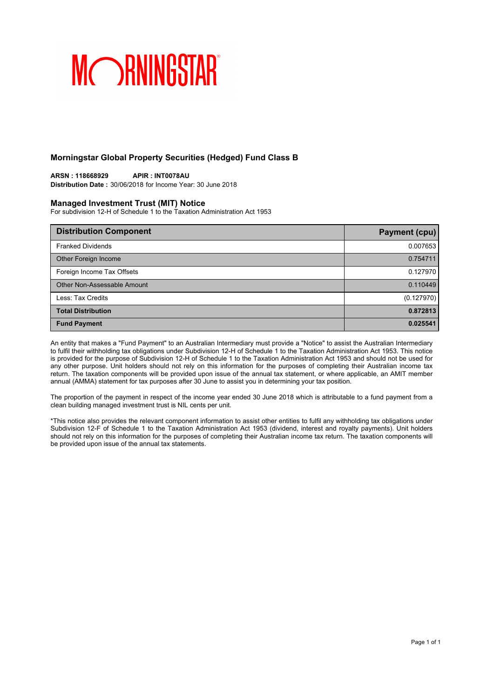## **Morningstar Global Property Securities (Hedged) Fund Class B**

## **ARSN : 118668929 APIR : INT0078AU**

**Distribution Date :** 30/06/2018 for Income Year: 30 June 2018

### **Managed Investment Trust (MIT) Notice**

For subdivision 12-H of Schedule 1 to the Taxation Administration Act 1953

| <b>Distribution Component</b> | <b>Payment (cpu)</b> |
|-------------------------------|----------------------|
| <b>Franked Dividends</b>      | 0.007653             |
| Other Foreign Income          | 0.754711             |
| Foreign Income Tax Offsets    | 0.127970             |
| Other Non-Assessable Amount   | 0.110449             |
| Less: Tax Credits             | (0.127970)           |
| <b>Total Distribution</b>     | 0.872813             |
| <b>Fund Payment</b>           | 0.025541             |

An entity that makes a "Fund Payment" to an Australian Intermediary must provide a "Notice" to assist the Australian Intermediary to fulfil their withholding tax obligations under Subdivision 12-H of Schedule 1 to the Taxation Administration Act 1953. This notice is provided for the purpose of Subdivision 12-H of Schedule 1 to the Taxation Administration Act 1953 and should not be used for any other purpose. Unit holders should not rely on this information for the purposes of completing their Australian income tax return. The taxation components will be provided upon issue of the annual tax statement, or where applicable, an AMIT member annual (AMMA) statement for tax purposes after 30 June to assist you in determining your tax position.

The proportion of the payment in respect of the income year ended 30 June 2018 which is attributable to a fund payment from a clean building managed investment trust is NIL cents per unit.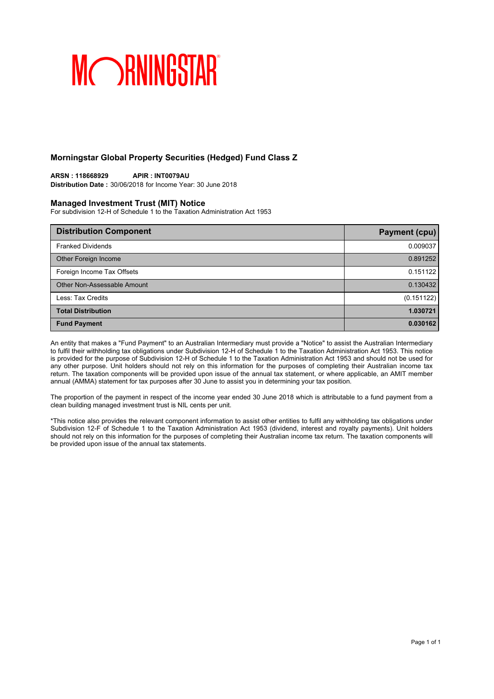## **Morningstar Global Property Securities (Hedged) Fund Class Z**

## **ARSN : 118668929 APIR : INT0079AU**

**Distribution Date :** 30/06/2018 for Income Year: 30 June 2018

### **Managed Investment Trust (MIT) Notice**

For subdivision 12-H of Schedule 1 to the Taxation Administration Act 1953

| <b>Distribution Component</b> | Payment (cpu) |
|-------------------------------|---------------|
| <b>Franked Dividends</b>      | 0.009037      |
| Other Foreign Income          | 0.891252      |
| Foreign Income Tax Offsets    | 0.151122      |
| Other Non-Assessable Amount   | 0.130432      |
| Less: Tax Credits             | (0.151122)    |
| <b>Total Distribution</b>     | 1.030721      |
| <b>Fund Payment</b>           | 0.030162      |

An entity that makes a "Fund Payment" to an Australian Intermediary must provide a "Notice" to assist the Australian Intermediary to fulfil their withholding tax obligations under Subdivision 12-H of Schedule 1 to the Taxation Administration Act 1953. This notice is provided for the purpose of Subdivision 12-H of Schedule 1 to the Taxation Administration Act 1953 and should not be used for any other purpose. Unit holders should not rely on this information for the purposes of completing their Australian income tax return. The taxation components will be provided upon issue of the annual tax statement, or where applicable, an AMIT member annual (AMMA) statement for tax purposes after 30 June to assist you in determining your tax position.

The proportion of the payment in respect of the income year ended 30 June 2018 which is attributable to a fund payment from a clean building managed investment trust is NIL cents per unit.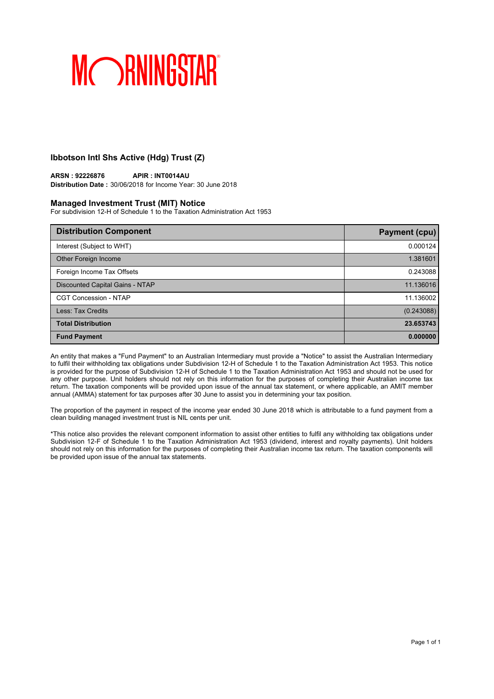## **Ibbotson Intl Shs Active (Hdg) Trust (Z)**

## **ARSN : 92226876 APIR : INT0014AU**

**Distribution Date :** 30/06/2018 for Income Year: 30 June 2018

### **Managed Investment Trust (MIT) Notice**

For subdivision 12-H of Schedule 1 to the Taxation Administration Act 1953

| <b>Distribution Component</b>   | <b>Payment (cpu)</b> |
|---------------------------------|----------------------|
| Interest (Subject to WHT)       | 0.000124             |
| Other Foreign Income            | 1.381601             |
| Foreign Income Tax Offsets      | 0.243088             |
| Discounted Capital Gains - NTAP | 11.136016            |
| <b>CGT Concession - NTAP</b>    | 11.136002            |
| Less: Tax Credits               | (0.243088)           |
| <b>Total Distribution</b>       | 23.653743            |
| <b>Fund Payment</b>             | 0.000000             |

An entity that makes a "Fund Payment" to an Australian Intermediary must provide a "Notice" to assist the Australian Intermediary to fulfil their withholding tax obligations under Subdivision 12-H of Schedule 1 to the Taxation Administration Act 1953. This notice is provided for the purpose of Subdivision 12-H of Schedule 1 to the Taxation Administration Act 1953 and should not be used for any other purpose. Unit holders should not rely on this information for the purposes of completing their Australian income tax return. The taxation components will be provided upon issue of the annual tax statement, or where applicable, an AMIT member annual (AMMA) statement for tax purposes after 30 June to assist you in determining your tax position.

The proportion of the payment in respect of the income year ended 30 June 2018 which is attributable to a fund payment from a clean building managed investment trust is NIL cents per unit.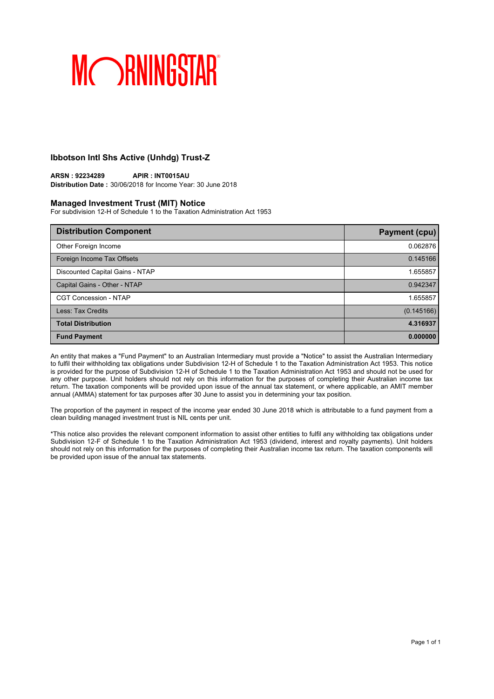## **Ibbotson Intl Shs Active (Unhdg) Trust-Z**

## **ARSN : 92234289 APIR : INT0015AU**

**Distribution Date :** 30/06/2018 for Income Year: 30 June 2018

### **Managed Investment Trust (MIT) Notice**

For subdivision 12-H of Schedule 1 to the Taxation Administration Act 1953

| <b>Distribution Component</b>   | Payment (cpu) |
|---------------------------------|---------------|
| Other Foreign Income            | 0.062876      |
| Foreign Income Tax Offsets      | 0.145166      |
| Discounted Capital Gains - NTAP | 1.655857      |
| Capital Gains - Other - NTAP    | 0.942347      |
| <b>CGT Concession - NTAP</b>    | 1.655857      |
| Less: Tax Credits               | (0.145166)    |
| <b>Total Distribution</b>       | 4.316937      |
| <b>Fund Payment</b>             | 0.000000      |

An entity that makes a "Fund Payment" to an Australian Intermediary must provide a "Notice" to assist the Australian Intermediary to fulfil their withholding tax obligations under Subdivision 12-H of Schedule 1 to the Taxation Administration Act 1953. This notice is provided for the purpose of Subdivision 12-H of Schedule 1 to the Taxation Administration Act 1953 and should not be used for any other purpose. Unit holders should not rely on this information for the purposes of completing their Australian income tax return. The taxation components will be provided upon issue of the annual tax statement, or where applicable, an AMIT member annual (AMMA) statement for tax purposes after 30 June to assist you in determining your tax position.

The proportion of the payment in respect of the income year ended 30 June 2018 which is attributable to a fund payment from a clean building managed investment trust is NIL cents per unit.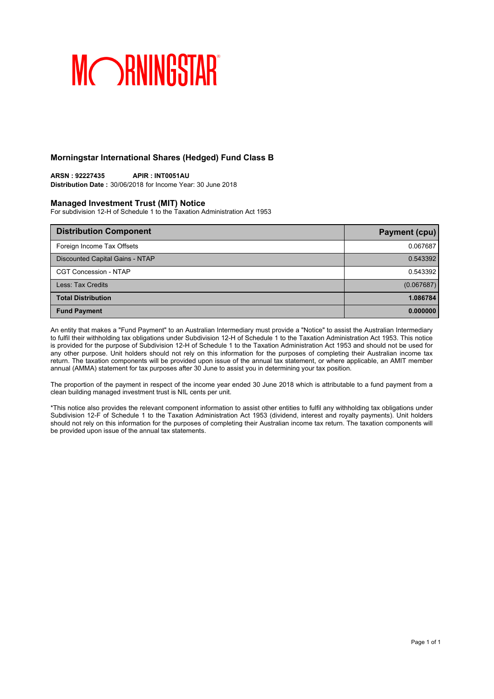## **Morningstar International Shares (Hedged) Fund Class B**

**ARSN : 92227435 APIR : INT0051AU Distribution Date :** 30/06/2018 for Income Year: 30 June 2018

## **Managed Investment Trust (MIT) Notice**

For subdivision 12-H of Schedule 1 to the Taxation Administration Act 1953

| <b>Distribution Component</b>   | <b>Payment (cpu)</b> |
|---------------------------------|----------------------|
| Foreign Income Tax Offsets      | 0.067687             |
| Discounted Capital Gains - NTAP | 0.543392             |
| <b>CGT Concession - NTAP</b>    | 0.543392             |
| Less: Tax Credits               | (0.067687)           |
| <b>Total Distribution</b>       | 1.086784             |
| <b>Fund Payment</b>             | 0.000000             |

An entity that makes a "Fund Payment" to an Australian Intermediary must provide a "Notice" to assist the Australian Intermediary to fulfil their withholding tax obligations under Subdivision 12-H of Schedule 1 to the Taxation Administration Act 1953. This notice is provided for the purpose of Subdivision 12-H of Schedule 1 to the Taxation Administration Act 1953 and should not be used for any other purpose. Unit holders should not rely on this information for the purposes of completing their Australian income tax return. The taxation components will be provided upon issue of the annual tax statement, or where applicable, an AMIT member annual (AMMA) statement for tax purposes after 30 June to assist you in determining your tax position.

The proportion of the payment in respect of the income year ended 30 June 2018 which is attributable to a fund payment from a clean building managed investment trust is NIL cents per unit.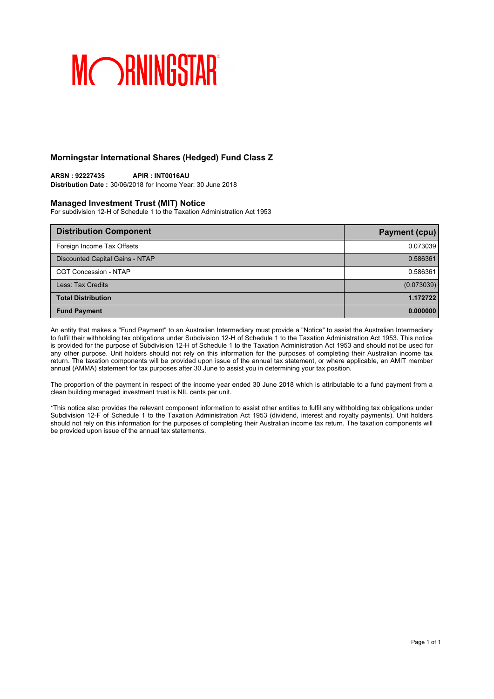## **Morningstar International Shares (Hedged) Fund Class Z**

**ARSN : 92227435 APIR : INT0016AU Distribution Date :** 30/06/2018 for Income Year: 30 June 2018

## **Managed Investment Trust (MIT) Notice**

For subdivision 12-H of Schedule 1 to the Taxation Administration Act 1953

| <b>Distribution Component</b>   | <b>Payment (cpu)</b> |
|---------------------------------|----------------------|
| Foreign Income Tax Offsets      | 0.073039             |
| Discounted Capital Gains - NTAP | 0.586361             |
| <b>CGT Concession - NTAP</b>    | 0.586361             |
| Less: Tax Credits               | (0.073039)           |
| <b>Total Distribution</b>       | 1.172722             |
| <b>Fund Payment</b>             | 0.000000             |

An entity that makes a "Fund Payment" to an Australian Intermediary must provide a "Notice" to assist the Australian Intermediary to fulfil their withholding tax obligations under Subdivision 12-H of Schedule 1 to the Taxation Administration Act 1953. This notice is provided for the purpose of Subdivision 12-H of Schedule 1 to the Taxation Administration Act 1953 and should not be used for any other purpose. Unit holders should not rely on this information for the purposes of completing their Australian income tax return. The taxation components will be provided upon issue of the annual tax statement, or where applicable, an AMIT member annual (AMMA) statement for tax purposes after 30 June to assist you in determining your tax position.

The proportion of the payment in respect of the income year ended 30 June 2018 which is attributable to a fund payment from a clean building managed investment trust is NIL cents per unit.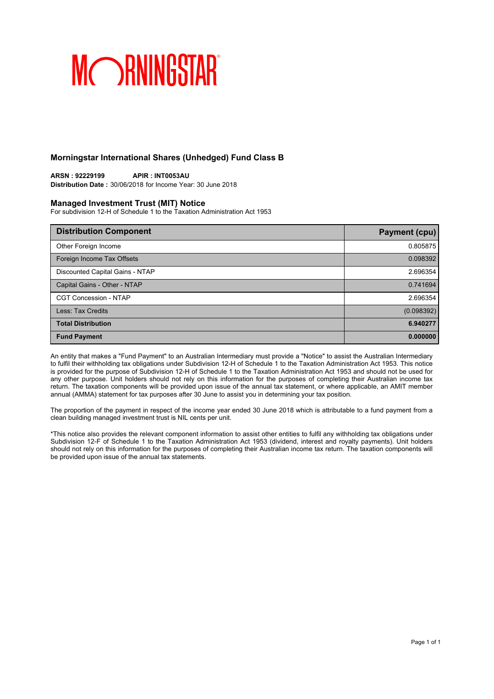## **Morningstar International Shares (Unhedged) Fund Class B**

### **ARSN : 92229199 APIR : INT0053AU Distribution Date :** 30/06/2018 for Income Year: 30 June 2018

### **Managed Investment Trust (MIT) Notice**

For subdivision 12-H of Schedule 1 to the Taxation Administration Act 1953

| <b>Distribution Component</b>   | <b>Payment (cpu)</b> |
|---------------------------------|----------------------|
| Other Foreign Income            | 0.805875             |
| Foreign Income Tax Offsets      | 0.098392             |
| Discounted Capital Gains - NTAP | 2.696354             |
| Capital Gains - Other - NTAP    | 0.741694             |
| <b>CGT Concession - NTAP</b>    | 2.696354             |
| Less: Tax Credits               | (0.098392)           |
| <b>Total Distribution</b>       | 6.940277             |
| <b>Fund Payment</b>             | 0.000000             |

An entity that makes a "Fund Payment" to an Australian Intermediary must provide a "Notice" to assist the Australian Intermediary to fulfil their withholding tax obligations under Subdivision 12-H of Schedule 1 to the Taxation Administration Act 1953. This notice is provided for the purpose of Subdivision 12-H of Schedule 1 to the Taxation Administration Act 1953 and should not be used for any other purpose. Unit holders should not rely on this information for the purposes of completing their Australian income tax return. The taxation components will be provided upon issue of the annual tax statement, or where applicable, an AMIT member annual (AMMA) statement for tax purposes after 30 June to assist you in determining your tax position.

The proportion of the payment in respect of the income year ended 30 June 2018 which is attributable to a fund payment from a clean building managed investment trust is NIL cents per unit.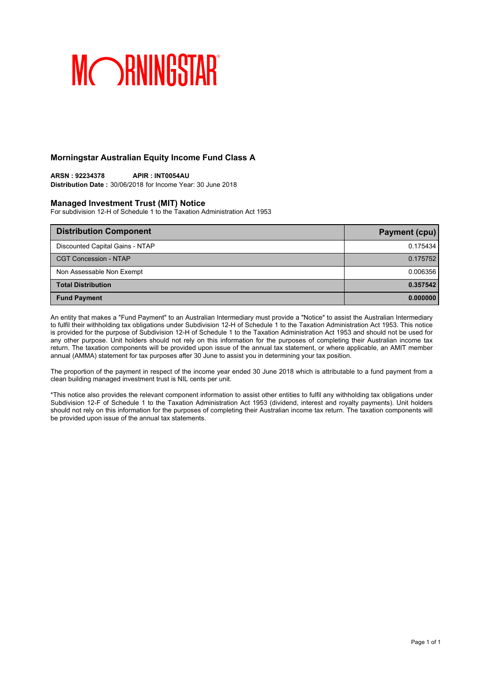## **Morningstar Australian Equity Income Fund Class A**

## **ARSN : 92234378 APIR : INT0054AU**

**Distribution Date :** 30/06/2018 for Income Year: 30 June 2018

### **Managed Investment Trust (MIT) Notice**

For subdivision 12-H of Schedule 1 to the Taxation Administration Act 1953

| <b>Distribution Component</b>   | Payment (cpu) |
|---------------------------------|---------------|
| Discounted Capital Gains - NTAP | 0.175434      |
| <b>CGT Concession - NTAP</b>    | 0.175752      |
| Non Assessable Non Exempt       | 0.006356      |
| <b>Total Distribution</b>       | 0.357542      |
| <b>Fund Payment</b>             | 0.000000      |

An entity that makes a "Fund Payment" to an Australian Intermediary must provide a "Notice" to assist the Australian Intermediary to fulfil their withholding tax obligations under Subdivision 12-H of Schedule 1 to the Taxation Administration Act 1953. This notice is provided for the purpose of Subdivision 12-H of Schedule 1 to the Taxation Administration Act 1953 and should not be used for any other purpose. Unit holders should not rely on this information for the purposes of completing their Australian income tax return. The taxation components will be provided upon issue of the annual tax statement, or where applicable, an AMIT member annual (AMMA) statement for tax purposes after 30 June to assist you in determining your tax position.

The proportion of the payment in respect of the income year ended 30 June 2018 which is attributable to a fund payment from a clean building managed investment trust is NIL cents per unit.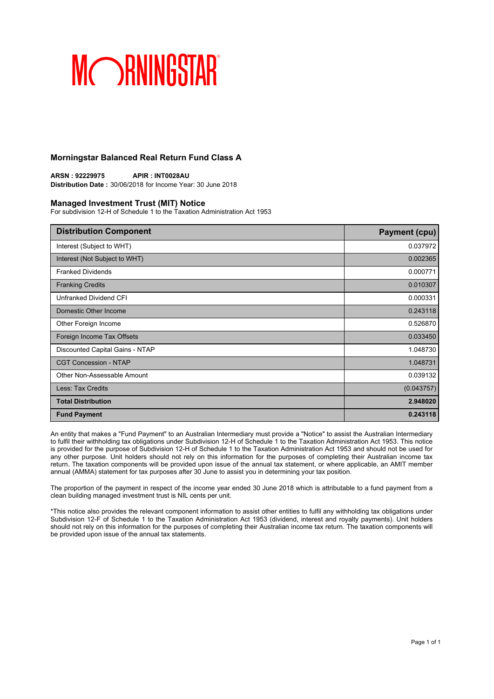## **Morningstar Balanced Real Return Fund Class A**

**ARSN : 92229975 APIR : INT0028AU Distribution Date :** 30/06/2018 for Income Year: 30 June 2018

### **Managed Investment Trust (MIT) Notice**

For subdivision 12-H of Schedule 1 to the Taxation Administration Act 1953

| <b>Distribution Component</b>   | <b>Payment (cpu)</b> |
|---------------------------------|----------------------|
| Interest (Subject to WHT)       | 0.037972             |
| Interest (Not Subject to WHT)   | 0.002365             |
| <b>Franked Dividends</b>        | 0.000771             |
| <b>Franking Credits</b>         | 0.010307             |
| Unfranked Dividend CFI          | 0.000331             |
| Domestic Other Income           | 0.243118             |
| Other Foreign Income            | 0.526870             |
| Foreign Income Tax Offsets      | 0.033450             |
| Discounted Capital Gains - NTAP | 1.048730             |
| <b>CGT Concession - NTAP</b>    | 1.048731             |
| Other Non-Assessable Amount     | 0.039132             |
| Less: Tax Credits               | (0.043757)           |
| <b>Total Distribution</b>       | 2.948020             |
| <b>Fund Payment</b>             | 0.243118             |

An entity that makes a "Fund Payment" to an Australian Intermediary must provide a "Notice" to assist the Australian Intermediary to fulfil their withholding tax obligations under Subdivision 12-H of Schedule 1 to the Taxation Administration Act 1953. This notice is provided for the purpose of Subdivision 12-H of Schedule 1 to the Taxation Administration Act 1953 and should not be used for any other purpose. Unit holders should not rely on this information for the purposes of completing their Australian income tax return. The taxation components will be provided upon issue of the annual tax statement, or where applicable, an AMIT member annual (AMMA) statement for tax purposes after 30 June to assist you in determining your tax position.

The proportion of the payment in respect of the income year ended 30 June 2018 which is attributable to a fund payment from a clean building managed investment trust is NIL cents per unit.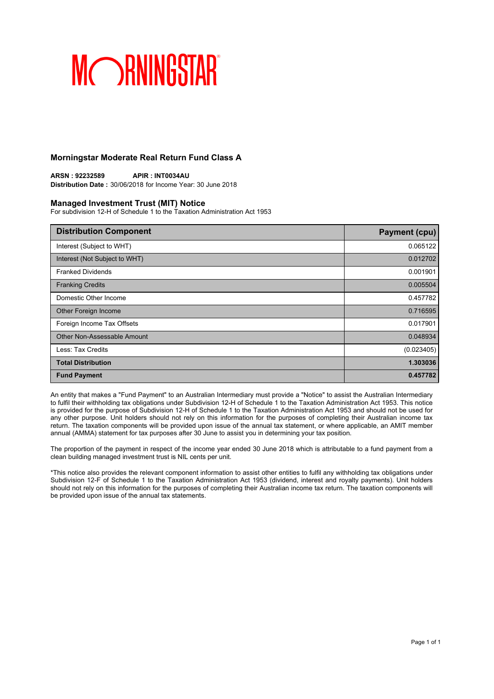## **Morningstar Moderate Real Return Fund Class A**

**ARSN : 92232589 APIR : INT0034AU Distribution Date :** 30/06/2018 for Income Year: 30 June 2018

## **Managed Investment Trust (MIT) Notice**

For subdivision 12-H of Schedule 1 to the Taxation Administration Act 1953

| <b>Distribution Component</b> | <b>Payment (cpu)</b> |
|-------------------------------|----------------------|
| Interest (Subject to WHT)     | 0.065122             |
| Interest (Not Subject to WHT) | 0.012702             |
| <b>Franked Dividends</b>      | 0.001901             |
| <b>Franking Credits</b>       | 0.005504             |
| Domestic Other Income         | 0.457782             |
| Other Foreign Income          | 0.716595             |
| Foreign Income Tax Offsets    | 0.017901             |
| Other Non-Assessable Amount   | 0.048934             |
| Less: Tax Credits             | (0.023405)           |
| <b>Total Distribution</b>     | 1.303036             |
| <b>Fund Payment</b>           | 0.457782             |

An entity that makes a "Fund Payment" to an Australian Intermediary must provide a "Notice" to assist the Australian Intermediary to fulfil their withholding tax obligations under Subdivision 12-H of Schedule 1 to the Taxation Administration Act 1953. This notice is provided for the purpose of Subdivision 12-H of Schedule 1 to the Taxation Administration Act 1953 and should not be used for any other purpose. Unit holders should not rely on this information for the purposes of completing their Australian income tax return. The taxation components will be provided upon issue of the annual tax statement, or where applicable, an AMIT member annual (AMMA) statement for tax purposes after 30 June to assist you in determining your tax position.

The proportion of the payment in respect of the income year ended 30 June 2018 which is attributable to a fund payment from a clean building managed investment trust is NIL cents per unit.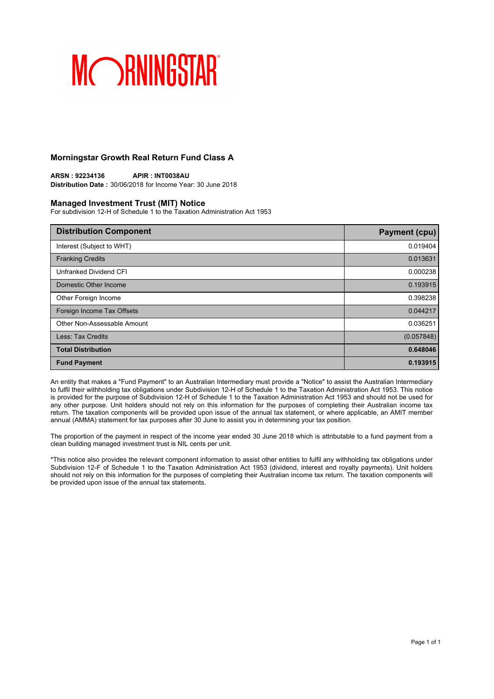## **Morningstar Growth Real Return Fund Class A**

**ARSN : 92234136 APIR : INT0038AU Distribution Date :** 30/06/2018 for Income Year: 30 June 2018

## **Managed Investment Trust (MIT) Notice**

For subdivision 12-H of Schedule 1 to the Taxation Administration Act 1953

| <b>Distribution Component</b> | <b>Payment (cpu)</b> |
|-------------------------------|----------------------|
| Interest (Subject to WHT)     | 0.019404             |
| <b>Franking Credits</b>       | 0.013631             |
| Unfranked Dividend CFI        | 0.000238             |
| Domestic Other Income         | 0.193915             |
| Other Foreign Income          | 0.398238             |
| Foreign Income Tax Offsets    | 0.044217             |
| Other Non-Assessable Amount   | 0.036251             |
| Less: Tax Credits             | (0.057848)           |
| <b>Total Distribution</b>     | 0.648046             |
| <b>Fund Payment</b>           | 0.193915             |

An entity that makes a "Fund Payment" to an Australian Intermediary must provide a "Notice" to assist the Australian Intermediary to fulfil their withholding tax obligations under Subdivision 12-H of Schedule 1 to the Taxation Administration Act 1953. This notice is provided for the purpose of Subdivision 12-H of Schedule 1 to the Taxation Administration Act 1953 and should not be used for any other purpose. Unit holders should not rely on this information for the purposes of completing their Australian income tax return. The taxation components will be provided upon issue of the annual tax statement, or where applicable, an AMIT member annual (AMMA) statement for tax purposes after 30 June to assist you in determining your tax position.

The proportion of the payment in respect of the income year ended 30 June 2018 which is attributable to a fund payment from a clean building managed investment trust is NIL cents per unit.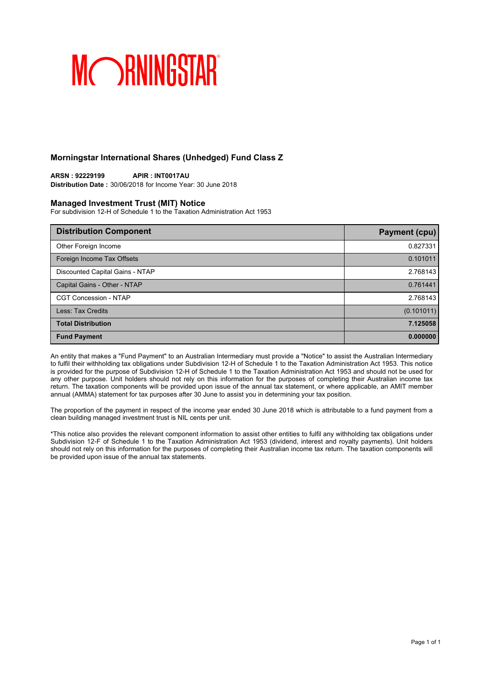## **Morningstar International Shares (Unhedged) Fund Class Z**

**ARSN : 92229199 APIR : INT0017AU Distribution Date :** 30/06/2018 for Income Year: 30 June 2018

### **Managed Investment Trust (MIT) Notice**

For subdivision 12-H of Schedule 1 to the Taxation Administration Act 1953

| <b>Distribution Component</b>   | <b>Payment (cpu)</b> |
|---------------------------------|----------------------|
| Other Foreign Income            | 0.827331             |
| Foreign Income Tax Offsets      | 0.101011             |
| Discounted Capital Gains - NTAP | 2.768143             |
| Capital Gains - Other - NTAP    | 0.761441             |
| <b>CGT Concession - NTAP</b>    | 2.768143             |
| Less: Tax Credits               | (0.101011)           |
| <b>Total Distribution</b>       | 7.125058             |
| <b>Fund Payment</b>             | 0.000000             |

An entity that makes a "Fund Payment" to an Australian Intermediary must provide a "Notice" to assist the Australian Intermediary to fulfil their withholding tax obligations under Subdivision 12-H of Schedule 1 to the Taxation Administration Act 1953. This notice is provided for the purpose of Subdivision 12-H of Schedule 1 to the Taxation Administration Act 1953 and should not be used for any other purpose. Unit holders should not rely on this information for the purposes of completing their Australian income tax return. The taxation components will be provided upon issue of the annual tax statement, or where applicable, an AMIT member annual (AMMA) statement for tax purposes after 30 June to assist you in determining your tax position.

The proportion of the payment in respect of the income year ended 30 June 2018 which is attributable to a fund payment from a clean building managed investment trust is NIL cents per unit.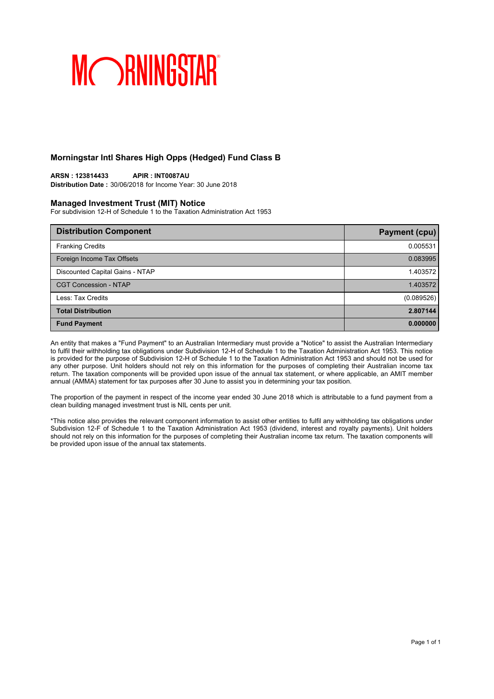## **Morningstar Intl Shares High Opps (Hedged) Fund Class B**

## **ARSN : 123814433 APIR : INT0087AU**

**Distribution Date :** 30/06/2018 for Income Year: 30 June 2018

## **Managed Investment Trust (MIT) Notice**

For subdivision 12-H of Schedule 1 to the Taxation Administration Act 1953

| <b>Distribution Component</b>   | Payment (cpu) |
|---------------------------------|---------------|
| <b>Franking Credits</b>         | 0.005531      |
| Foreign Income Tax Offsets      | 0.083995      |
| Discounted Capital Gains - NTAP | 1.403572      |
| <b>CGT Concession - NTAP</b>    | 1.403572      |
| Less: Tax Credits               | (0.089526)    |
| <b>Total Distribution</b>       | 2.807144      |
| <b>Fund Payment</b>             | 0.000000      |

An entity that makes a "Fund Payment" to an Australian Intermediary must provide a "Notice" to assist the Australian Intermediary to fulfil their withholding tax obligations under Subdivision 12-H of Schedule 1 to the Taxation Administration Act 1953. This notice is provided for the purpose of Subdivision 12-H of Schedule 1 to the Taxation Administration Act 1953 and should not be used for any other purpose. Unit holders should not rely on this information for the purposes of completing their Australian income tax return. The taxation components will be provided upon issue of the annual tax statement, or where applicable, an AMIT member annual (AMMA) statement for tax purposes after 30 June to assist you in determining your tax position.

The proportion of the payment in respect of the income year ended 30 June 2018 which is attributable to a fund payment from a clean building managed investment trust is NIL cents per unit.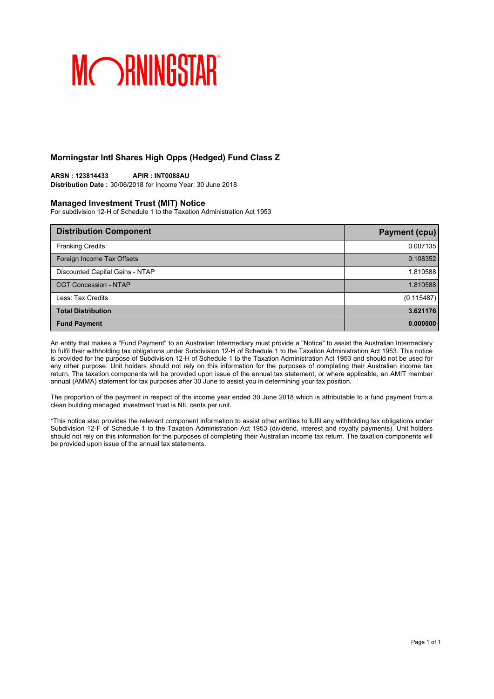## **Morningstar Intl Shares High Opps (Hedged) Fund Class Z**

## **ARSN : 123814433 APIR : INT0088AU**

**Distribution Date :** 30/06/2018 for Income Year: 30 June 2018

### **Managed Investment Trust (MIT) Notice**

For subdivision 12-H of Schedule 1 to the Taxation Administration Act 1953

| <b>Distribution Component</b>   | Payment (cpu) |
|---------------------------------|---------------|
| <b>Franking Credits</b>         | 0.007135      |
| Foreign Income Tax Offsets      | 0.108352      |
| Discounted Capital Gains - NTAP | 1.810588      |
| <b>CGT Concession - NTAP</b>    | 1.810588      |
| Less: Tax Credits               | (0.115487)    |
| <b>Total Distribution</b>       | 3.621176      |
| <b>Fund Payment</b>             | 0.000000      |

An entity that makes a "Fund Payment" to an Australian Intermediary must provide a "Notice" to assist the Australian Intermediary to fulfil their withholding tax obligations under Subdivision 12-H of Schedule 1 to the Taxation Administration Act 1953. This notice is provided for the purpose of Subdivision 12-H of Schedule 1 to the Taxation Administration Act 1953 and should not be used for any other purpose. Unit holders should not rely on this information for the purposes of completing their Australian income tax return. The taxation components will be provided upon issue of the annual tax statement, or where applicable, an AMIT member annual (AMMA) statement for tax purposes after 30 June to assist you in determining your tax position.

The proportion of the payment in respect of the income year ended 30 June 2018 which is attributable to a fund payment from a clean building managed investment trust is NIL cents per unit.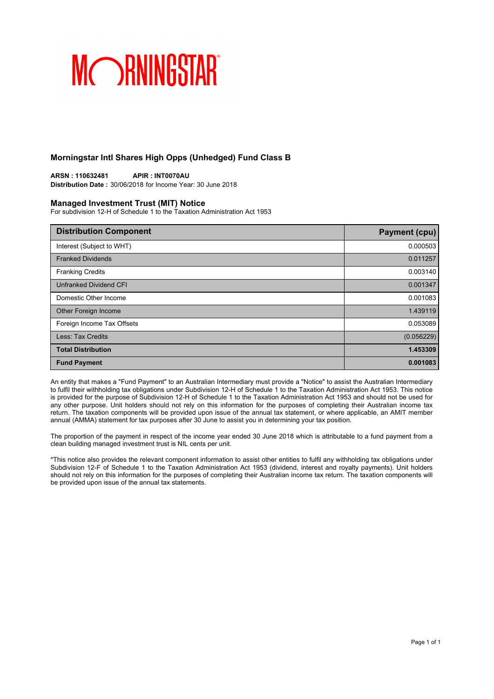## **Morningstar Intl Shares High Opps (Unhedged) Fund Class B**

**ARSN : 110632481 APIR : INT0070AU Distribution Date :** 30/06/2018 for Income Year: 30 June 2018

### **Managed Investment Trust (MIT) Notice**

For subdivision 12-H of Schedule 1 to the Taxation Administration Act 1953

| <b>Distribution Component</b> | <b>Payment (cpu)</b> |
|-------------------------------|----------------------|
| Interest (Subject to WHT)     | 0.000503             |
| <b>Franked Dividends</b>      | 0.011257             |
| <b>Franking Credits</b>       | 0.003140             |
| Unfranked Dividend CFI        | 0.001347             |
| Domestic Other Income         | 0.001083             |
| Other Foreign Income          | 1.439119             |
| Foreign Income Tax Offsets    | 0.053089             |
| Less: Tax Credits             | (0.056229)           |
| <b>Total Distribution</b>     | 1.453309             |
| <b>Fund Payment</b>           | 0.001083             |

An entity that makes a "Fund Payment" to an Australian Intermediary must provide a "Notice" to assist the Australian Intermediary to fulfil their withholding tax obligations under Subdivision 12-H of Schedule 1 to the Taxation Administration Act 1953. This notice is provided for the purpose of Subdivision 12-H of Schedule 1 to the Taxation Administration Act 1953 and should not be used for any other purpose. Unit holders should not rely on this information for the purposes of completing their Australian income tax return. The taxation components will be provided upon issue of the annual tax statement, or where applicable, an AMIT member annual (AMMA) statement for tax purposes after 30 June to assist you in determining your tax position.

The proportion of the payment in respect of the income year ended 30 June 2018 which is attributable to a fund payment from a clean building managed investment trust is NIL cents per unit.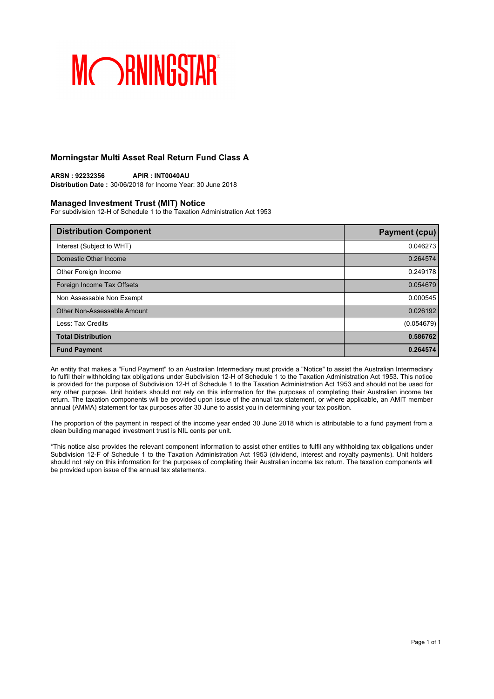## **Morningstar Multi Asset Real Return Fund Class A**

**ARSN : 92232356 APIR : INT0040AU Distribution Date :** 30/06/2018 for Income Year: 30 June 2018

### **Managed Investment Trust (MIT) Notice**

For subdivision 12-H of Schedule 1 to the Taxation Administration Act 1953

| <b>Distribution Component</b> | Payment (cpu) |
|-------------------------------|---------------|
| Interest (Subject to WHT)     | 0.046273      |
| Domestic Other Income         | 0.264574      |
| Other Foreign Income          | 0.249178      |
| Foreign Income Tax Offsets    | 0.054679      |
| Non Assessable Non Exempt     | 0.000545      |
| Other Non-Assessable Amount   | 0.026192      |
| Less: Tax Credits             | (0.054679)    |
| <b>Total Distribution</b>     | 0.586762      |
| <b>Fund Payment</b>           | 0.264574      |

An entity that makes a "Fund Payment" to an Australian Intermediary must provide a "Notice" to assist the Australian Intermediary to fulfil their withholding tax obligations under Subdivision 12-H of Schedule 1 to the Taxation Administration Act 1953. This notice is provided for the purpose of Subdivision 12-H of Schedule 1 to the Taxation Administration Act 1953 and should not be used for any other purpose. Unit holders should not rely on this information for the purposes of completing their Australian income tax return. The taxation components will be provided upon issue of the annual tax statement, or where applicable, an AMIT member annual (AMMA) statement for tax purposes after 30 June to assist you in determining your tax position.

The proportion of the payment in respect of the income year ended 30 June 2018 which is attributable to a fund payment from a clean building managed investment trust is NIL cents per unit.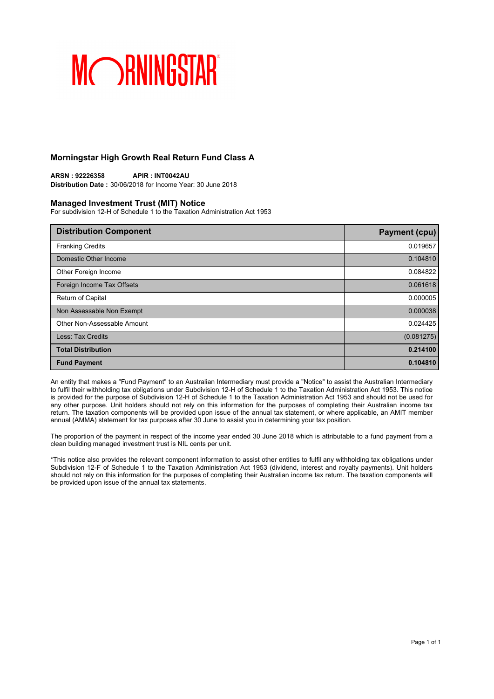## **Morningstar High Growth Real Return Fund Class A**

**ARSN : 92226358 APIR : INT0042AU Distribution Date :** 30/06/2018 for Income Year: 30 June 2018

## **Managed Investment Trust (MIT) Notice**

For subdivision 12-H of Schedule 1 to the Taxation Administration Act 1953

| <b>Distribution Component</b> | <b>Payment (cpu)</b> |
|-------------------------------|----------------------|
| <b>Franking Credits</b>       | 0.019657             |
| Domestic Other Income         | 0.104810             |
| Other Foreign Income          | 0.084822             |
| Foreign Income Tax Offsets    | 0.061618             |
| Return of Capital             | 0.000005             |
| Non Assessable Non Exempt     | 0.000038             |
| Other Non-Assessable Amount   | 0.024425             |
| Less: Tax Credits             | (0.081275)           |
| <b>Total Distribution</b>     | 0.214100             |
| <b>Fund Payment</b>           | 0.104810             |

An entity that makes a "Fund Payment" to an Australian Intermediary must provide a "Notice" to assist the Australian Intermediary to fulfil their withholding tax obligations under Subdivision 12-H of Schedule 1 to the Taxation Administration Act 1953. This notice is provided for the purpose of Subdivision 12-H of Schedule 1 to the Taxation Administration Act 1953 and should not be used for any other purpose. Unit holders should not rely on this information for the purposes of completing their Australian income tax return. The taxation components will be provided upon issue of the annual tax statement, or where applicable, an AMIT member annual (AMMA) statement for tax purposes after 30 June to assist you in determining your tax position.

The proportion of the payment in respect of the income year ended 30 June 2018 which is attributable to a fund payment from a clean building managed investment trust is NIL cents per unit.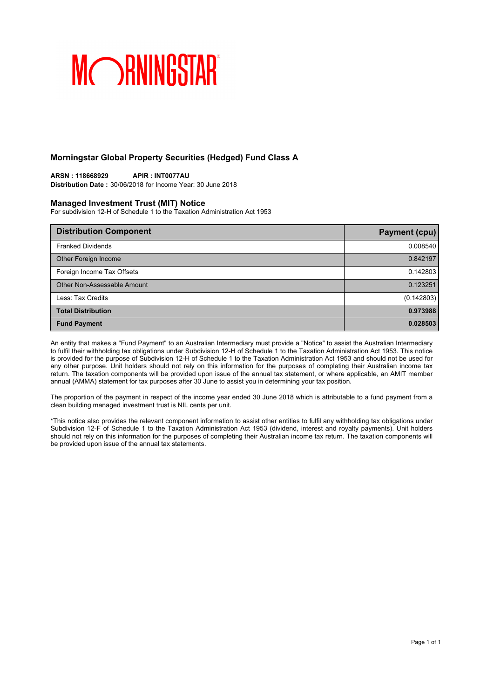## **Morningstar Global Property Securities (Hedged) Fund Class A**

### **ARSN : 118668929 APIR : INT0077AU Distribution Date :** 30/06/2018 for Income Year: 30 June 2018

## **Managed Investment Trust (MIT) Notice**

For subdivision 12-H of Schedule 1 to the Taxation Administration Act 1953

| <b>Distribution Component</b> | <b>Payment (cpu)</b> |
|-------------------------------|----------------------|
| <b>Franked Dividends</b>      | 0.008540             |
| Other Foreign Income          | 0.842197             |
| Foreign Income Tax Offsets    | 0.142803             |
| Other Non-Assessable Amount   | 0.123251             |
| Less: Tax Credits             | (0.142803)           |
| <b>Total Distribution</b>     | 0.973988             |
| <b>Fund Payment</b>           | 0.028503             |

An entity that makes a "Fund Payment" to an Australian Intermediary must provide a "Notice" to assist the Australian Intermediary to fulfil their withholding tax obligations under Subdivision 12-H of Schedule 1 to the Taxation Administration Act 1953. This notice is provided for the purpose of Subdivision 12-H of Schedule 1 to the Taxation Administration Act 1953 and should not be used for any other purpose. Unit holders should not rely on this information for the purposes of completing their Australian income tax return. The taxation components will be provided upon issue of the annual tax statement, or where applicable, an AMIT member annual (AMMA) statement for tax purposes after 30 June to assist you in determining your tax position.

The proportion of the payment in respect of the income year ended 30 June 2018 which is attributable to a fund payment from a clean building managed investment trust is NIL cents per unit.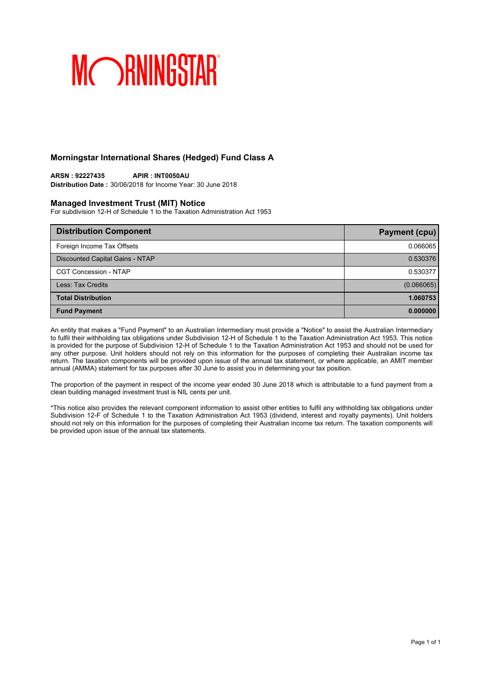## **Morningstar International Shares (Hedged) Fund Class A**

**ARSN : 92227435 APIR : INT0050AU Distribution Date :** 30/06/2018 for Income Year: 30 June 2018

## **Managed Investment Trust (MIT) Notice**

For subdivision 12-H of Schedule 1 to the Taxation Administration Act 1953

| <b>Distribution Component</b>   | <b>Payment (cpu)</b> |
|---------------------------------|----------------------|
| Foreign Income Tax Offsets      | 0.066065             |
| Discounted Capital Gains - NTAP | 0.530376             |
| <b>CGT Concession - NTAP</b>    | 0.530377             |
| Less: Tax Credits               | (0.066065)           |
| <b>Total Distribution</b>       | 1.060753             |
| <b>Fund Payment</b>             | 0.000000             |

An entity that makes a "Fund Payment" to an Australian Intermediary must provide a "Notice" to assist the Australian Intermediary to fulfil their withholding tax obligations under Subdivision 12-H of Schedule 1 to the Taxation Administration Act 1953. This notice is provided for the purpose of Subdivision 12-H of Schedule 1 to the Taxation Administration Act 1953 and should not be used for any other purpose. Unit holders should not rely on this information for the purposes of completing their Australian income tax return. The taxation components will be provided upon issue of the annual tax statement, or where applicable, an AMIT member annual (AMMA) statement for tax purposes after 30 June to assist you in determining your tax position.

The proportion of the payment in respect of the income year ended 30 June 2018 which is attributable to a fund payment from a clean building managed investment trust is NIL cents per unit.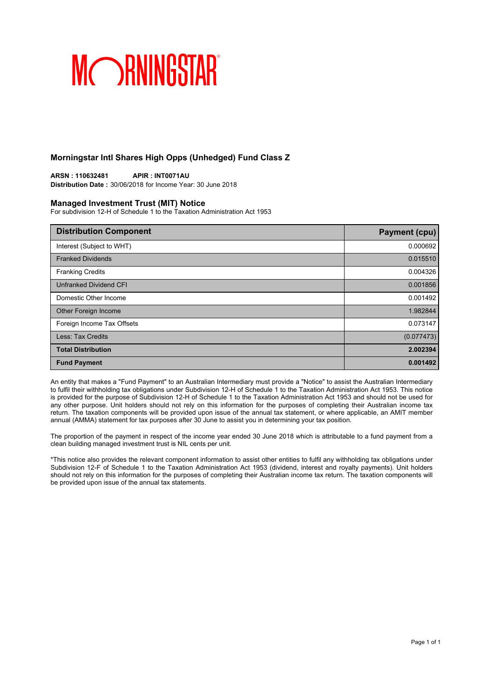## **Morningstar Intl Shares High Opps (Unhedged) Fund Class Z**

**ARSN : 110632481 APIR : INT0071AU Distribution Date :** 30/06/2018 for Income Year: 30 June 2018

### **Managed Investment Trust (MIT) Notice**

For subdivision 12-H of Schedule 1 to the Taxation Administration Act 1953

| <b>Distribution Component</b> | <b>Payment (cpu)</b> |
|-------------------------------|----------------------|
| Interest (Subject to WHT)     | 0.000692             |
| <b>Franked Dividends</b>      | 0.015510             |
| <b>Franking Credits</b>       | 0.004326             |
| Unfranked Dividend CFI        | 0.001856             |
| Domestic Other Income         | 0.001492             |
| Other Foreign Income          | 1.982844             |
| Foreign Income Tax Offsets    | 0.073147             |
| Less: Tax Credits             | (0.077473)           |
| <b>Total Distribution</b>     | 2.002394             |
| <b>Fund Payment</b>           | 0.001492             |

An entity that makes a "Fund Payment" to an Australian Intermediary must provide a "Notice" to assist the Australian Intermediary to fulfil their withholding tax obligations under Subdivision 12-H of Schedule 1 to the Taxation Administration Act 1953. This notice is provided for the purpose of Subdivision 12-H of Schedule 1 to the Taxation Administration Act 1953 and should not be used for any other purpose. Unit holders should not rely on this information for the purposes of completing their Australian income tax return. The taxation components will be provided upon issue of the annual tax statement, or where applicable, an AMIT member annual (AMMA) statement for tax purposes after 30 June to assist you in determining your tax position.

The proportion of the payment in respect of the income year ended 30 June 2018 which is attributable to a fund payment from a clean building managed investment trust is NIL cents per unit.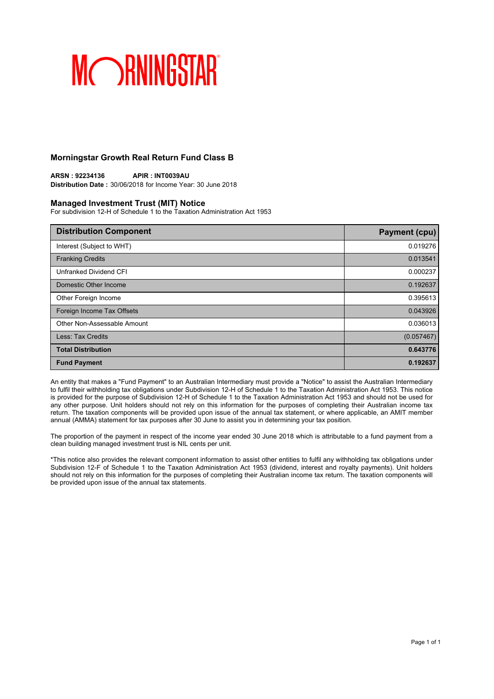## **Morningstar Growth Real Return Fund Class B**

**ARSN : 92234136 APIR : INT0039AU Distribution Date :** 30/06/2018 for Income Year: 30 June 2018

### **Managed Investment Trust (MIT) Notice**

For subdivision 12-H of Schedule 1 to the Taxation Administration Act 1953

| <b>Distribution Component</b> | <b>Payment (cpu)</b> |
|-------------------------------|----------------------|
| Interest (Subject to WHT)     | 0.019276             |
| <b>Franking Credits</b>       | 0.013541             |
| Unfranked Dividend CFI        | 0.000237             |
| Domestic Other Income         | 0.192637             |
| Other Foreign Income          | 0.395613             |
| Foreign Income Tax Offsets    | 0.043926             |
| Other Non-Assessable Amount   | 0.036013             |
| Less: Tax Credits             | (0.057467)           |
| <b>Total Distribution</b>     | 0.643776             |
| <b>Fund Payment</b>           | 0.192637             |

An entity that makes a "Fund Payment" to an Australian Intermediary must provide a "Notice" to assist the Australian Intermediary to fulfil their withholding tax obligations under Subdivision 12-H of Schedule 1 to the Taxation Administration Act 1953. This notice is provided for the purpose of Subdivision 12-H of Schedule 1 to the Taxation Administration Act 1953 and should not be used for any other purpose. Unit holders should not rely on this information for the purposes of completing their Australian income tax return. The taxation components will be provided upon issue of the annual tax statement, or where applicable, an AMIT member annual (AMMA) statement for tax purposes after 30 June to assist you in determining your tax position.

The proportion of the payment in respect of the income year ended 30 June 2018 which is attributable to a fund payment from a clean building managed investment trust is NIL cents per unit.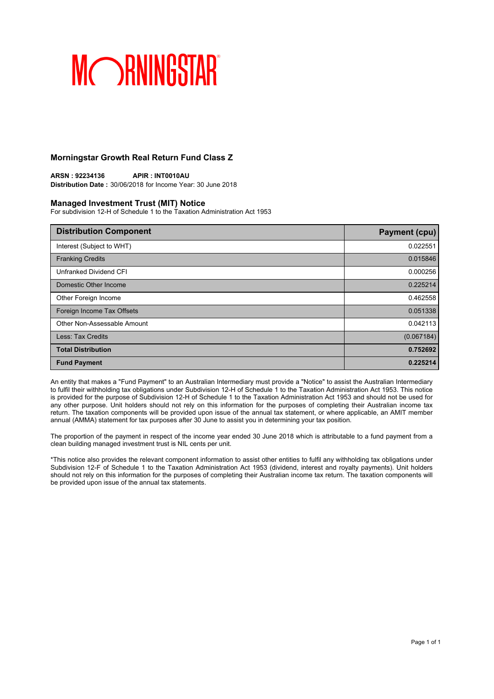## **Morningstar Growth Real Return Fund Class Z**

**ARSN : 92234136 APIR : INT0010AU Distribution Date :** 30/06/2018 for Income Year: 30 June 2018

## **Managed Investment Trust (MIT) Notice**

For subdivision 12-H of Schedule 1 to the Taxation Administration Act 1953

| <b>Distribution Component</b> | <b>Payment (cpu)</b> |
|-------------------------------|----------------------|
| Interest (Subject to WHT)     | 0.022551             |
| <b>Franking Credits</b>       | 0.015846             |
| Unfranked Dividend CFI        | 0.000256             |
| Domestic Other Income         | 0.225214             |
| Other Foreign Income          | 0.462558             |
| Foreign Income Tax Offsets    | 0.051338             |
| Other Non-Assessable Amount   | 0.042113             |
| Less: Tax Credits             | (0.067184)           |
| <b>Total Distribution</b>     | 0.752692             |
| <b>Fund Payment</b>           | 0.225214             |

An entity that makes a "Fund Payment" to an Australian Intermediary must provide a "Notice" to assist the Australian Intermediary to fulfil their withholding tax obligations under Subdivision 12-H of Schedule 1 to the Taxation Administration Act 1953. This notice is provided for the purpose of Subdivision 12-H of Schedule 1 to the Taxation Administration Act 1953 and should not be used for any other purpose. Unit holders should not rely on this information for the purposes of completing their Australian income tax return. The taxation components will be provided upon issue of the annual tax statement, or where applicable, an AMIT member annual (AMMA) statement for tax purposes after 30 June to assist you in determining your tax position.

The proportion of the payment in respect of the income year ended 30 June 2018 which is attributable to a fund payment from a clean building managed investment trust is NIL cents per unit.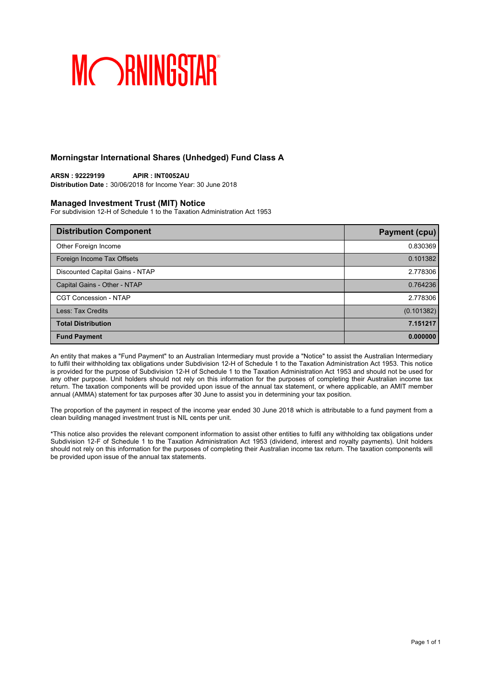## **Morningstar International Shares (Unhedged) Fund Class A**

### **ARSN : 92229199 APIR : INT0052AU Distribution Date :** 30/06/2018 for Income Year: 30 June 2018

### **Managed Investment Trust (MIT) Notice**

For subdivision 12-H of Schedule 1 to the Taxation Administration Act 1953

| <b>Distribution Component</b>   | <b>Payment (cpu)</b> |
|---------------------------------|----------------------|
| Other Foreign Income            | 0.830369             |
| Foreign Income Tax Offsets      | 0.101382             |
| Discounted Capital Gains - NTAP | 2.778306             |
| Capital Gains - Other - NTAP    | 0.764236             |
| <b>CGT Concession - NTAP</b>    | 2.778306             |
| Less: Tax Credits               | (0.101382)           |
| <b>Total Distribution</b>       | 7.151217             |
| <b>Fund Payment</b>             | 0.000000             |

An entity that makes a "Fund Payment" to an Australian Intermediary must provide a "Notice" to assist the Australian Intermediary to fulfil their withholding tax obligations under Subdivision 12-H of Schedule 1 to the Taxation Administration Act 1953. This notice is provided for the purpose of Subdivision 12-H of Schedule 1 to the Taxation Administration Act 1953 and should not be used for any other purpose. Unit holders should not rely on this information for the purposes of completing their Australian income tax return. The taxation components will be provided upon issue of the annual tax statement, or where applicable, an AMIT member annual (AMMA) statement for tax purposes after 30 June to assist you in determining your tax position.

The proportion of the payment in respect of the income year ended 30 June 2018 which is attributable to a fund payment from a clean building managed investment trust is NIL cents per unit.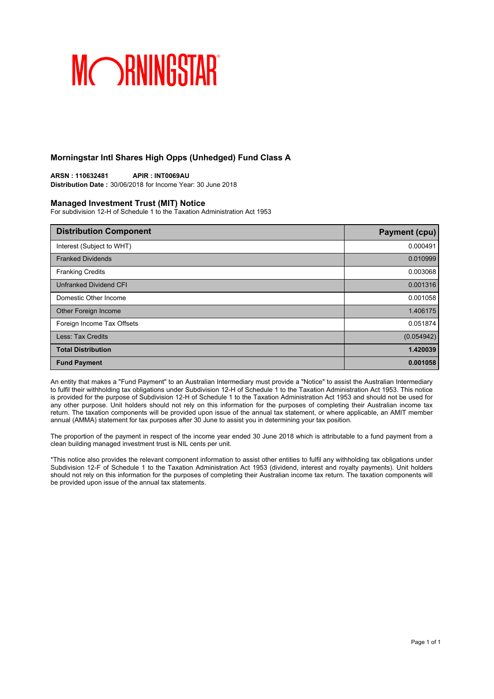## **Morningstar Intl Shares High Opps (Unhedged) Fund Class A**

**ARSN : 110632481 APIR : INT0069AU Distribution Date :** 30/06/2018 for Income Year: 30 June 2018

### **Managed Investment Trust (MIT) Notice**

For subdivision 12-H of Schedule 1 to the Taxation Administration Act 1953

| <b>Distribution Component</b> | <b>Payment (cpu)</b> |
|-------------------------------|----------------------|
| Interest (Subject to WHT)     | 0.000491             |
| <b>Franked Dividends</b>      | 0.010999             |
| <b>Franking Credits</b>       | 0.003068             |
| Unfranked Dividend CFI        | 0.001316             |
| Domestic Other Income         | 0.001058             |
| Other Foreign Income          | 1.406175             |
| Foreign Income Tax Offsets    | 0.051874             |
| Less: Tax Credits             | (0.054942)           |
| <b>Total Distribution</b>     | 1.420039             |
| <b>Fund Payment</b>           | 0.001058             |

An entity that makes a "Fund Payment" to an Australian Intermediary must provide a "Notice" to assist the Australian Intermediary to fulfil their withholding tax obligations under Subdivision 12-H of Schedule 1 to the Taxation Administration Act 1953. This notice is provided for the purpose of Subdivision 12-H of Schedule 1 to the Taxation Administration Act 1953 and should not be used for any other purpose. Unit holders should not rely on this information for the purposes of completing their Australian income tax return. The taxation components will be provided upon issue of the annual tax statement, or where applicable, an AMIT member annual (AMMA) statement for tax purposes after 30 June to assist you in determining your tax position.

The proportion of the payment in respect of the income year ended 30 June 2018 which is attributable to a fund payment from a clean building managed investment trust is NIL cents per unit.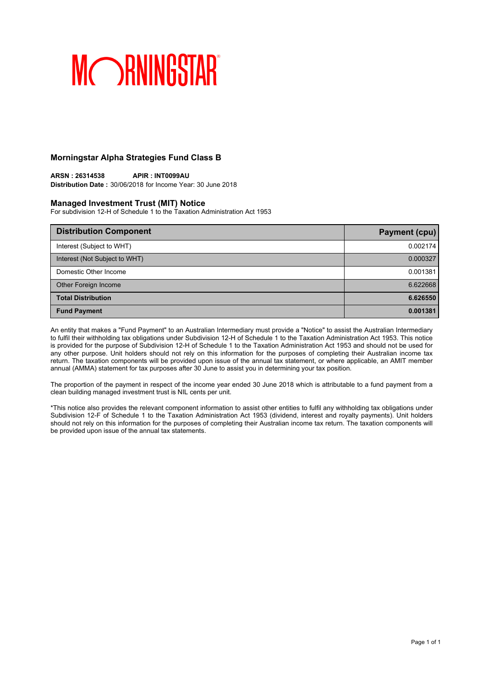## **Morningstar Alpha Strategies Fund Class B**

**ARSN : 26314538 APIR : INT0099AU Distribution Date :** 30/06/2018 for Income Year: 30 June 2018

### **Managed Investment Trust (MIT) Notice**

For subdivision 12-H of Schedule 1 to the Taxation Administration Act 1953

| <b>Distribution Component</b> | Payment (cpu) |
|-------------------------------|---------------|
| Interest (Subject to WHT)     | 0.002174      |
| Interest (Not Subject to WHT) | 0.000327      |
| Domestic Other Income         | 0.001381      |
| Other Foreign Income          | 6.622668      |
| <b>Total Distribution</b>     | 6.626550      |
| <b>Fund Payment</b>           | 0.001381      |

An entity that makes a "Fund Payment" to an Australian Intermediary must provide a "Notice" to assist the Australian Intermediary to fulfil their withholding tax obligations under Subdivision 12-H of Schedule 1 to the Taxation Administration Act 1953. This notice is provided for the purpose of Subdivision 12-H of Schedule 1 to the Taxation Administration Act 1953 and should not be used for any other purpose. Unit holders should not rely on this information for the purposes of completing their Australian income tax return. The taxation components will be provided upon issue of the annual tax statement, or where applicable, an AMIT member annual (AMMA) statement for tax purposes after 30 June to assist you in determining your tax position.

The proportion of the payment in respect of the income year ended 30 June 2018 which is attributable to a fund payment from a clean building managed investment trust is NIL cents per unit.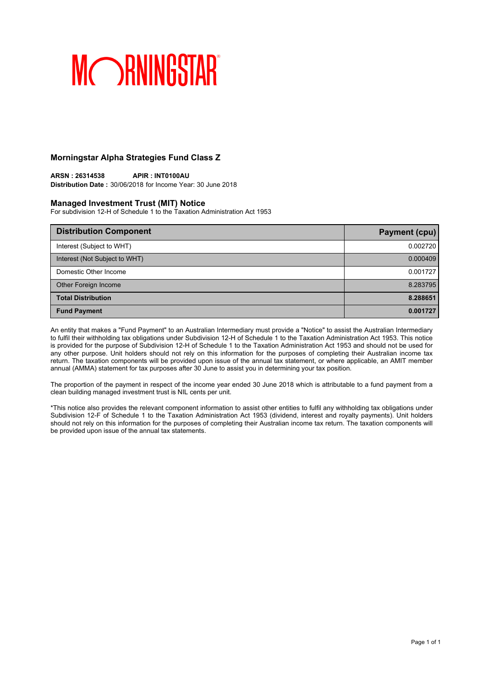## **Morningstar Alpha Strategies Fund Class Z**

**ARSN : 26314538 APIR : INT0100AU Distribution Date :** 30/06/2018 for Income Year: 30 June 2018

### **Managed Investment Trust (MIT) Notice**

For subdivision 12-H of Schedule 1 to the Taxation Administration Act 1953

| <b>Distribution Component</b> | <b>Payment (cpu)</b> |
|-------------------------------|----------------------|
| Interest (Subject to WHT)     | 0.002720             |
| Interest (Not Subject to WHT) | 0.000409             |
| Domestic Other Income         | 0.001727             |
| Other Foreign Income          | 8.283795             |
| <b>Total Distribution</b>     | 8.288651             |
| <b>Fund Payment</b>           | 0.001727             |

An entity that makes a "Fund Payment" to an Australian Intermediary must provide a "Notice" to assist the Australian Intermediary to fulfil their withholding tax obligations under Subdivision 12-H of Schedule 1 to the Taxation Administration Act 1953. This notice is provided for the purpose of Subdivision 12-H of Schedule 1 to the Taxation Administration Act 1953 and should not be used for any other purpose. Unit holders should not rely on this information for the purposes of completing their Australian income tax return. The taxation components will be provided upon issue of the annual tax statement, or where applicable, an AMIT member annual (AMMA) statement for tax purposes after 30 June to assist you in determining your tax position.

The proportion of the payment in respect of the income year ended 30 June 2018 which is attributable to a fund payment from a clean building managed investment trust is NIL cents per unit.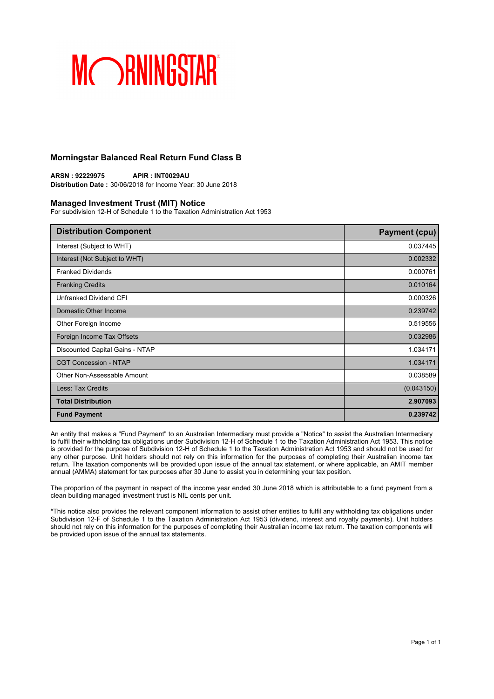## **Morningstar Balanced Real Return Fund Class B**

**ARSN : 92229975 APIR : INT0029AU Distribution Date :** 30/06/2018 for Income Year: 30 June 2018

### **Managed Investment Trust (MIT) Notice**

For subdivision 12-H of Schedule 1 to the Taxation Administration Act 1953

| <b>Distribution Component</b>   | <b>Payment (cpu)</b> |
|---------------------------------|----------------------|
| Interest (Subject to WHT)       | 0.037445             |
| Interest (Not Subject to WHT)   | 0.002332             |
| <b>Franked Dividends</b>        | 0.000761             |
| <b>Franking Credits</b>         | 0.010164             |
| Unfranked Dividend CFI          | 0.000326             |
| Domestic Other Income           | 0.239742             |
| Other Foreign Income            | 0.519556             |
| Foreign Income Tax Offsets      | 0.032986             |
| Discounted Capital Gains - NTAP | 1.034171             |
| <b>CGT Concession - NTAP</b>    | 1.034171             |
| Other Non-Assessable Amount     | 0.038589             |
| Less: Tax Credits               | (0.043150)           |
| <b>Total Distribution</b>       | 2.907093             |
| <b>Fund Payment</b>             | 0.239742             |

An entity that makes a "Fund Payment" to an Australian Intermediary must provide a "Notice" to assist the Australian Intermediary to fulfil their withholding tax obligations under Subdivision 12-H of Schedule 1 to the Taxation Administration Act 1953. This notice is provided for the purpose of Subdivision 12-H of Schedule 1 to the Taxation Administration Act 1953 and should not be used for any other purpose. Unit holders should not rely on this information for the purposes of completing their Australian income tax return. The taxation components will be provided upon issue of the annual tax statement, or where applicable, an AMIT member annual (AMMA) statement for tax purposes after 30 June to assist you in determining your tax position.

The proportion of the payment in respect of the income year ended 30 June 2018 which is attributable to a fund payment from a clean building managed investment trust is NIL cents per unit.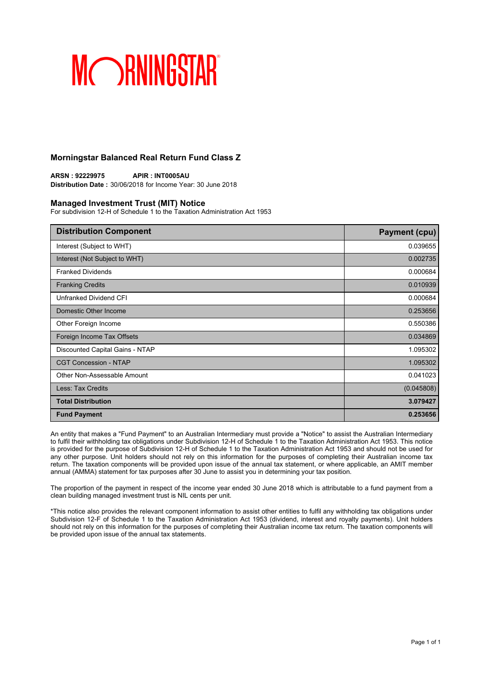## **Morningstar Balanced Real Return Fund Class Z**

**ARSN : 92229975 APIR : INT0005AU Distribution Date :** 30/06/2018 for Income Year: 30 June 2018

### **Managed Investment Trust (MIT) Notice**

For subdivision 12-H of Schedule 1 to the Taxation Administration Act 1953

| <b>Distribution Component</b>   | <b>Payment (cpu)</b> |
|---------------------------------|----------------------|
| Interest (Subject to WHT)       | 0.039655             |
| Interest (Not Subject to WHT)   | 0.002735             |
| <b>Franked Dividends</b>        | 0.000684             |
| <b>Franking Credits</b>         | 0.010939             |
| Unfranked Dividend CFI          | 0.000684             |
| Domestic Other Income           | 0.253656             |
| Other Foreign Income            | 0.550386             |
| Foreign Income Tax Offsets      | 0.034869             |
| Discounted Capital Gains - NTAP | 1.095302             |
| <b>CGT Concession - NTAP</b>    | 1.095302             |
| Other Non-Assessable Amount     | 0.041023             |
| Less: Tax Credits               | (0.045808)           |
| <b>Total Distribution</b>       | 3.079427             |
| <b>Fund Payment</b>             | 0.253656             |

An entity that makes a "Fund Payment" to an Australian Intermediary must provide a "Notice" to assist the Australian Intermediary to fulfil their withholding tax obligations under Subdivision 12-H of Schedule 1 to the Taxation Administration Act 1953. This notice is provided for the purpose of Subdivision 12-H of Schedule 1 to the Taxation Administration Act 1953 and should not be used for any other purpose. Unit holders should not rely on this information for the purposes of completing their Australian income tax return. The taxation components will be provided upon issue of the annual tax statement, or where applicable, an AMIT member annual (AMMA) statement for tax purposes after 30 June to assist you in determining your tax position.

The proportion of the payment in respect of the income year ended 30 June 2018 which is attributable to a fund payment from a clean building managed investment trust is NIL cents per unit.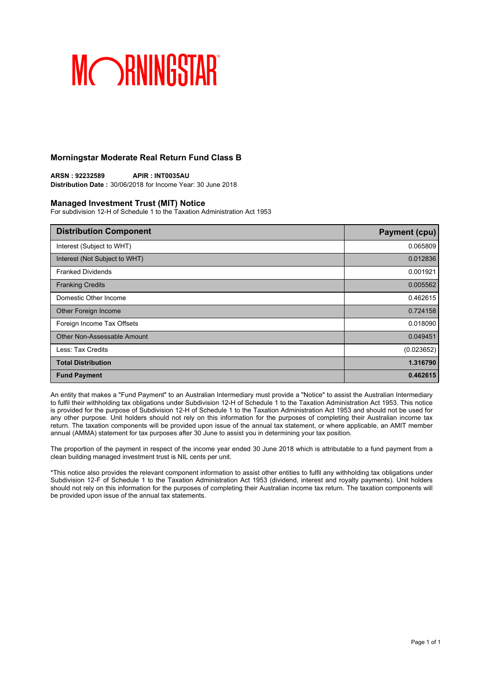## **Morningstar Moderate Real Return Fund Class B**

**ARSN : 92232589 APIR : INT0035AU Distribution Date :** 30/06/2018 for Income Year: 30 June 2018

### **Managed Investment Trust (MIT) Notice**

For subdivision 12-H of Schedule 1 to the Taxation Administration Act 1953

| <b>Distribution Component</b> | <b>Payment (cpu)</b> |
|-------------------------------|----------------------|
| Interest (Subject to WHT)     | 0.065809             |
| Interest (Not Subject to WHT) | 0.012836             |
| <b>Franked Dividends</b>      | 0.001921             |
| <b>Franking Credits</b>       | 0.005562             |
| Domestic Other Income         | 0.462615             |
| Other Foreign Income          | 0.724158             |
| Foreign Income Tax Offsets    | 0.018090             |
| Other Non-Assessable Amount   | 0.049451             |
| Less: Tax Credits             | (0.023652)           |
| <b>Total Distribution</b>     | 1.316790             |
| <b>Fund Payment</b>           | 0.462615             |

An entity that makes a "Fund Payment" to an Australian Intermediary must provide a "Notice" to assist the Australian Intermediary to fulfil their withholding tax obligations under Subdivision 12-H of Schedule 1 to the Taxation Administration Act 1953. This notice is provided for the purpose of Subdivision 12-H of Schedule 1 to the Taxation Administration Act 1953 and should not be used for any other purpose. Unit holders should not rely on this information for the purposes of completing their Australian income tax return. The taxation components will be provided upon issue of the annual tax statement, or where applicable, an AMIT member annual (AMMA) statement for tax purposes after 30 June to assist you in determining your tax position.

The proportion of the payment in respect of the income year ended 30 June 2018 which is attributable to a fund payment from a clean building managed investment trust is NIL cents per unit.